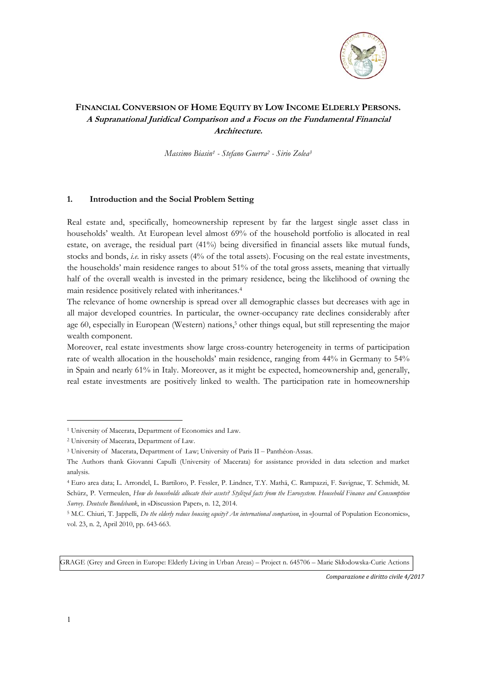

# **FINANCIAL CONVERSION OF HOME EQUITY BY LOW INCOME ELDERLY PERSONS. A Supranational Juridical Comparison and a Focus on the Fundamental Financial Architecture.**

*Massimo Biasin1 - Stefano Guerra2 - Sirio Zolea3*

#### **1. Introduction and the Social Problem Setting**

Real estate and, specifically, homeownership represent by far the largest single asset class in households' wealth. At European level almost 69% of the household portfolio is allocated in real estate, on average, the residual part (41%) being diversified in financial assets like mutual funds, stocks and bonds, *i.e.* in risky assets (4% of the total assets). Focusing on the real estate investments, the households' main residence ranges to about 51% of the total gross assets, meaning that virtually half of the overall wealth is invested in the primary residence, being the likelihood of owning the main residence positively related with inheritances.4

The relevance of home ownership is spread over all demographic classes but decreases with age in all major developed countries. In particular, the owner-occupancy rate declines considerably after age 60, especially in European (Western) nations,<sup>5</sup> other things equal, but still representing the major wealth component.

Moreover, real estate investments show large cross-country heterogeneity in terms of participation rate of wealth allocation in the households' main residence, ranging from 44% in Germany to 54% in Spain and nearly 61% in Italy. Moreover, as it might be expected, homeownership and, generally, real estate investments are positively linked to wealth. The participation rate in homeownership

GRAGE (Grey and Green in Europe: Elderly Living in Urban Areas) – Project n. 645706 – Marie Skłodowska-Curie Actions

*Comparazione e diritto civile 4/2017* 

<sup>1</sup> University of Macerata, Department of Economics and Law.

<sup>2</sup> University of Macerata, Department of Law.

<sup>&</sup>lt;sup>3</sup> University of Macerata, Department of Law; University of Paris II – Panthéon-Assas.

The Authors thank Giovanni Capulli (University of Macerata) for assistance provided in data selection and market analysis.

<sup>4</sup> Euro area data; L. Arrondel, L. Bartiloro, P. Fessler, P. Lindner, T.Y. Mathä, C. Rampazzi, F. Savignac, T. Schmidt, M. Schürz, P. Vermeulen, *How do households allocate their assets? Stylized facts from the Eurosystem. Household Finance and Consumption Survey. Deutsche Bundsbank*, in «Discussion Paper», n. 12, 2014.

<sup>5</sup> M.C. Chiuri, T. Jappelli, *Do the elderly reduce housing equity? An international comparison*, in «Journal of Population Economics», vol. 23, n. 2, April 2010, pp. 643-663.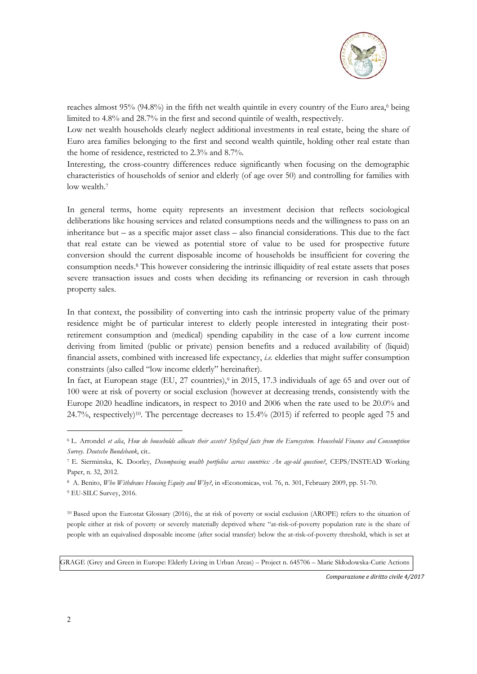

reaches almost 95% (94.8%) in the fifth net wealth quintile in every country of the Euro area, $6$  being limited to 4.8% and 28.7% in the first and second quintile of wealth, respectively.

Low net wealth households clearly neglect additional investments in real estate, being the share of Euro area families belonging to the first and second wealth quintile, holding other real estate than the home of residence, restricted to 2.3% and 8.7%.

Interesting, the cross-country differences reduce significantly when focusing on the demographic characteristics of households of senior and elderly (of age over 50) and controlling for families with low wealth.7

In general terms, home equity represents an investment decision that reflects sociological deliberations like housing services and related consumptions needs and the willingness to pass on an inheritance but – as a specific major asset class – also financial considerations. This due to the fact that real estate can be viewed as potential store of value to be used for prospective future conversion should the current disposable income of households be insufficient for covering the consumption needs.8 This however considering the intrinsic illiquidity of real estate assets that poses severe transaction issues and costs when deciding its refinancing or reversion in cash through property sales.

In that context, the possibility of converting into cash the intrinsic property value of the primary residence might be of particular interest to elderly people interested in integrating their postretirement consumption and (medical) spending capability in the case of a low current income deriving from limited (public or private) pension benefits and a reduced availability of (liquid) financial assets, combined with increased life expectancy, *i.e.* elderlies that might suffer consumption constraints (also called "low income elderly" hereinafter).

In fact, at European stage (EU, 27 countries),<sup>9</sup> in 2015, 17.3 individuals of age 65 and over out of 100 were at risk of poverty or social exclusion (however at decreasing trends, consistently with the Europe 2020 headline indicators, in respect to 2010 and 2006 when the rate used to be 20.0% and 24.7%, respectively)10. The percentage decreases to 15.4% (2015) if referred to people aged 75 and

10 Based upon the Eurostat Glossary (2016), the at risk of poverty or social exclusion (AROPE) refers to the situation of people either at risk of poverty or severely materially deprived where "at-risk-of-poverty population rate is the share of people with an equivalised disposable income (after social transfer) below the at-risk-of-poverty threshold, which is set at

GRAGE (Grey and Green in Europe: Elderly Living in Urban Areas) – Project n. 645706 – Marie Skłodowska-Curie Actions

*Comparazione e diritto civile 4/2017* 

<sup>6</sup> L. Arrondel *et alia*, *How do households allocate their assets? Stylized facts from the Eurosystem. Household Finance and Consumption Survey. Deutsche Bundsbank*, cit..

<sup>7</sup> E. Sierminska, K. Doorley, *Decomposing wealth portfolios across countries: An age-old question?*, CEPS/INSTEAD Working Paper, n. 32, 2012.

<sup>8</sup> A. Benito, *Who Withdraws Housing Equity and Why?*, in «Economica», vol. 76, n. 301, February 2009, pp. 51-70.

<sup>9</sup> EU-SILC Survey, 2016.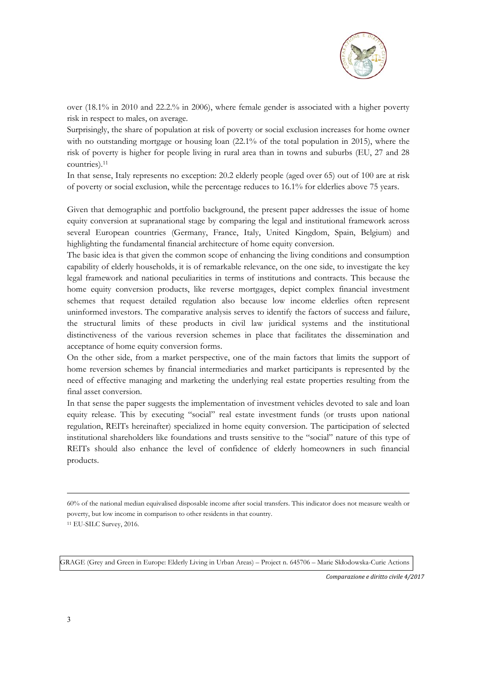

over (18.1% in 2010 and 22.2.% in 2006), where female gender is associated with a higher poverty risk in respect to males, on average.

Surprisingly, the share of population at risk of poverty or social exclusion increases for home owner with no outstanding mortgage or housing loan (22.1% of the total population in 2015), where the risk of poverty is higher for people living in rural area than in towns and suburbs (EU, 27 and 28 countries).11

In that sense, Italy represents no exception: 20.2 elderly people (aged over 65) out of 100 are at risk of poverty or social exclusion, while the percentage reduces to 16.1% for elderlies above 75 years.

Given that demographic and portfolio background, the present paper addresses the issue of home equity conversion at supranational stage by comparing the legal and institutional framework across several European countries (Germany, France, Italy, United Kingdom, Spain, Belgium) and highlighting the fundamental financial architecture of home equity conversion.

The basic idea is that given the common scope of enhancing the living conditions and consumption capability of elderly households, it is of remarkable relevance, on the one side, to investigate the key legal framework and national peculiarities in terms of institutions and contracts. This because the home equity conversion products, like reverse mortgages, depict complex financial investment schemes that request detailed regulation also because low income elderlies often represent uninformed investors. The comparative analysis serves to identify the factors of success and failure, the structural limits of these products in civil law juridical systems and the institutional distinctiveness of the various reversion schemes in place that facilitates the dissemination and acceptance of home equity conversion forms.

On the other side, from a market perspective, one of the main factors that limits the support of home reversion schemes by financial intermediaries and market participants is represented by the need of effective managing and marketing the underlying real estate properties resulting from the final asset conversion.

In that sense the paper suggests the implementation of investment vehicles devoted to sale and loan equity release. This by executing "social" real estate investment funds (or trusts upon national regulation, REITs hereinafter) specialized in home equity conversion. The participation of selected institutional shareholders like foundations and trusts sensitive to the "social" nature of this type of REITs should also enhance the level of confidence of elderly homeowners in such financial products.

60% of the national median equivalised disposable income after social transfers. This indicator does not measure wealth or poverty, but low income in comparison to other residents in that country.

11 EU-SILC Survey, 2016.

GRAGE (Grey and Green in Europe: Elderly Living in Urban Areas) – Project n. 645706 – Marie Skłodowska-Curie Actions

*Comparazione e diritto civile 4/2017*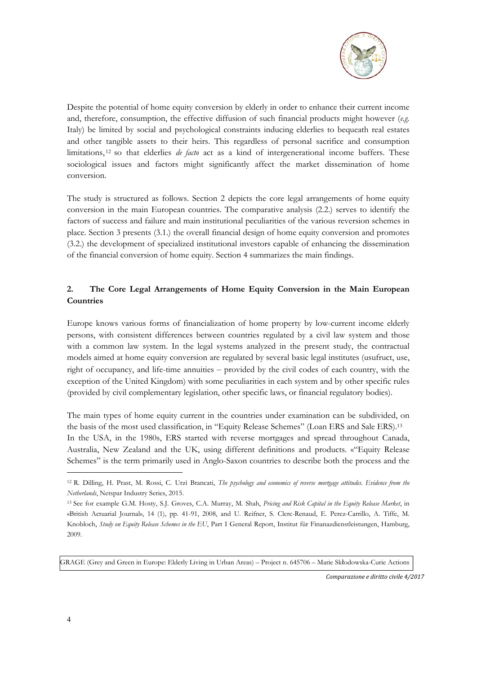

Despite the potential of home equity conversion by elderly in order to enhance their current income and, therefore, consumption, the effective diffusion of such financial products might however (*e.g.*  Italy) be limited by social and psychological constraints inducing elderlies to bequeath real estates and other tangible assets to their heirs. This regardless of personal sacrifice and consumption limitations, 12 so that elderlies *de facto* act as a kind of intergenerational income buffers. These sociological issues and factors might significantly affect the market dissemination of home conversion.

The study is structured as follows. Section 2 depicts the core legal arrangements of home equity conversion in the main European countries. The comparative analysis (2.2.) serves to identify the factors of success and failure and main institutional peculiarities of the various reversion schemes in place. Section 3 presents (3.1.) the overall financial design of home equity conversion and promotes (3.2.) the development of specialized institutional investors capable of enhancing the dissemination of the financial conversion of home equity. Section 4 summarizes the main findings.

# **2. The Core Legal Arrangements of Home Equity Conversion in the Main European Countries**

Europe knows various forms of financialization of home property by low-current income elderly persons, with consistent differences between countries regulated by a civil law system and those with a common law system. In the legal systems analyzed in the present study, the contractual models aimed at home equity conversion are regulated by several basic legal institutes (usufruct, use, right of occupancy, and life-time annuities – provided by the civil codes of each country, with the exception of the United Kingdom) with some peculiarities in each system and by other specific rules (provided by civil complementary legislation, other specific laws, or financial regulatory bodies).

The main types of home equity current in the countries under examination can be subdivided, on the basis of the most used classification, in "Equity Release Schemes" (Loan ERS and Sale ERS).13 In the USA, in the 1980s, ERS started with reverse mortgages and spread throughout Canada, Australia, New Zealand and the UK, using different definitions and products. «"Equity Release Schemes" is the term primarily used in Anglo-Saxon countries to describe both the process and the

GRAGE (Grey and Green in Europe: Elderly Living in Urban Areas) – Project n. 645706 – Marie Skłodowska-Curie Actions

*Comparazione e diritto civile 4/2017* 

<sup>12</sup> R. Dilling, H. Prast, M. Rossi, C. Urzì Brancati, *The psychology and economics of reverse mortgage attitudes. Evidence from the Netherlands*, Netspar Industry Series, 2015.

<sup>13</sup> See for example G.M. Hosty, S.J. Groves, C.A. Murray, M. Shah, *Pricing and Risk Capital in the Equity Release Market*, in «British Actuarial Journal», 14 (1), pp. 41-91, 2008, and U. Reifner, S. Clerc-Renaud, E. Perez-Carrillo, A. Tiffe, M. Knobloch, *Study on Equity Release Schemes in the EU*, Part I General Report, Institut für Finanazdienstleistungen, Hamburg, 2009.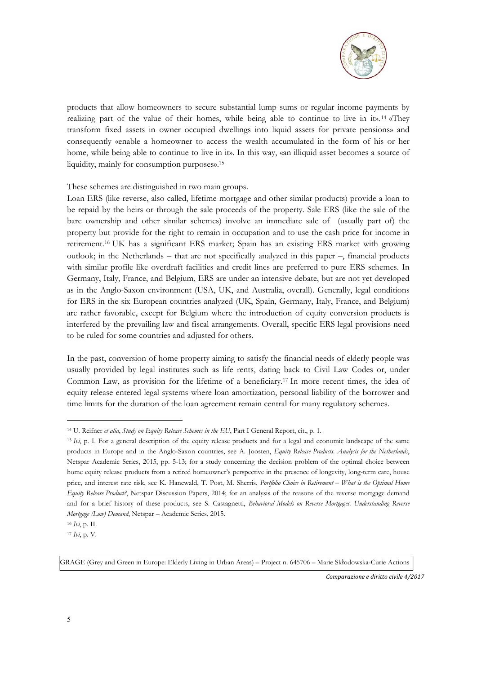

products that allow homeowners to secure substantial lump sums or regular income payments by realizing part of the value of their homes, while being able to continue to live in it».<sup>14</sup> «They transform fixed assets in owner occupied dwellings into liquid assets for private pensions» and consequently «enable a homeowner to access the wealth accumulated in the form of his or her home, while being able to continue to live in it». In this way, «an illiquid asset becomes a source of liquidity, mainly for consumption purposes».15

These schemes are distinguished in two main groups.

Loan ERS (like reverse, also called, lifetime mortgage and other similar products) provide a loan to be repaid by the heirs or through the sale proceeds of the property. Sale ERS (like the sale of the bare ownership and other similar schemes) involve an immediate sale of (usually part of) the property but provide for the right to remain in occupation and to use the cash price for income in retirement.16 UK has a significant ERS market; Spain has an existing ERS market with growing outlook; in the Netherlands  $-$  that are not specifically analyzed in this paper  $-$ , financial products with similar profile like overdraft facilities and credit lines are preferred to pure ERS schemes. In Germany, Italy, France, and Belgium, ERS are under an intensive debate, but are not yet developed as in the Anglo-Saxon environment (USA, UK, and Australia, overall). Generally, legal conditions for ERS in the six European countries analyzed (UK, Spain, Germany, Italy, France, and Belgium) are rather favorable, except for Belgium where the introduction of equity conversion products is interfered by the prevailing law and fiscal arrangements. Overall, specific ERS legal provisions need to be ruled for some countries and adjusted for others.

In the past, conversion of home property aiming to satisfy the financial needs of elderly people was usually provided by legal institutes such as life rents, dating back to Civil Law Codes or, under Common Law, as provision for the lifetime of a beneficiary.17 In more recent times, the idea of equity release entered legal systems where loan amortization, personal liability of the borrower and time limits for the duration of the loan agreement remain central for many regulatory schemes.

-

GRAGE (Grey and Green in Europe: Elderly Living in Urban Areas) – Project n. 645706 – Marie Skłodowska-Curie Actions

<sup>14</sup> U. Reifner *et alia*, *Study on Equity Release Schemes in the EU*, Part I General Report, cit., p. 1.

<sup>15</sup> *Ivi*, p. I. For a general description of the equity release products and for a legal and economic landscape of the same products in Europe and in the Anglo-Saxon countries, see A. Joosten, *Equity Release Products. Analysis for the Netherlands*, Netspar Academic Series, 2015, pp. 5-13; for a study concerning the decision problem of the optimal choice between home equity release products from a retired homeowner's perspective in the presence of longevity, long-term care, house price, and interest rate risk, see K. Hanewald, T. Post, M. Sherris, *Portfolio Choice in Retirement – What is the Optimal Home Equity Release Product?*, Netspar Discussion Papers, 2014; for an analysis of the reasons of the reverse mortgage demand and for a brief history of these products, see S. Castagnetti, *Behavioral Models on Reverse Mortgages. Understanding Reverse Mortgage (Low) Demand*, Netspar – Academic Series, 2015.

<sup>16</sup> *Ivi*, p. II.

<sup>17</sup> *Ivi*, p. V.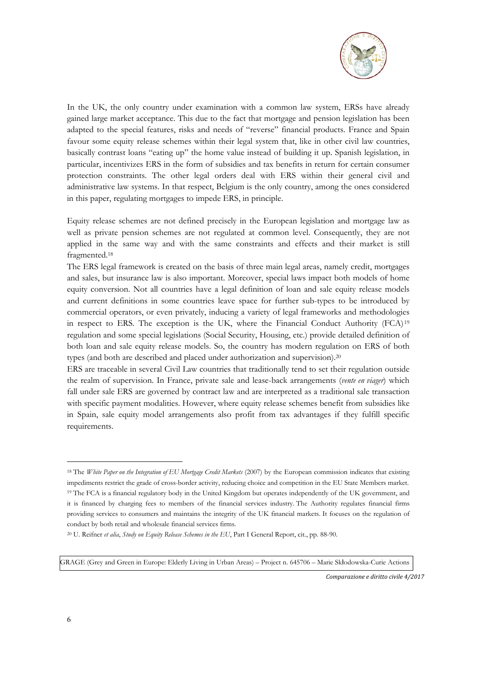

In the UK, the only country under examination with a common law system, ERSs have already gained large market acceptance. This due to the fact that mortgage and pension legislation has been adapted to the special features, risks and needs of "reverse" financial products. France and Spain favour some equity release schemes within their legal system that, like in other civil law countries, basically contrast loans "eating up" the home value instead of building it up. Spanish legislation, in particular, incentivizes ERS in the form of subsidies and tax benefits in return for certain consumer protection constraints. The other legal orders deal with ERS within their general civil and administrative law systems. In that respect, Belgium is the only country, among the ones considered in this paper, regulating mortgages to impede ERS, in principle.

Equity release schemes are not defined precisely in the European legislation and mortgage law as well as private pension schemes are not regulated at common level. Consequently, they are not applied in the same way and with the same constraints and effects and their market is still fragmented.18

The ERS legal framework is created on the basis of three main legal areas, namely credit, mortgages and sales, but insurance law is also important. Moreover, special laws impact both models of home equity conversion. Not all countries have a legal definition of loan and sale equity release models and current definitions in some countries leave space for further sub-types to be introduced by commercial operators, or even privately, inducing a variety of legal frameworks and methodologies in respect to ERS. The exception is the UK, where the Financial Conduct Authority (FCA) <sup>19</sup> regulation and some special legislations (Social Security, Housing, etc.) provide detailed definition of both loan and sale equity release models. So, the country has modern regulation on ERS of both types (and both are described and placed under authorization and supervision).20

ERS are traceable in several Civil Law countries that traditionally tend to set their regulation outside the realm of supervision. In France, private sale and lease-back arrangements (*vente en viager*) which fall under sale ERS are governed by contract law and are interpreted as a traditional sale transaction with specific payment modalities. However, where equity release schemes benefit from subsidies like in Spain, sale equity model arrangements also profit from tax advantages if they fulfill specific requirements.

GRAGE (Grey and Green in Europe: Elderly Living in Urban Areas) – Project n. 645706 – Marie Skłodowska-Curie Actions

*Comparazione e diritto civile 4/2017* 

<sup>18</sup> The *White Paper on the Integration of EU Mortgage Credit Markets* (2007) by the European commission indicates that existing impediments restrict the grade of cross-border activity, reducing choice and competition in the EU State Members market. 19 The FCA is a financial regulatory body in the United Kingdom but operates independently of the UK government, and it is financed by charging fees to members of the financial services industry. The Authority regulates financial firms providing services to consumers and maintains the integrity of the UK financial markets. It focuses on the regulation of conduct by both retail and wholesale financial services firms.

<sup>20</sup> U. Reifner *et alia*, *Study on Equity Release Schemes in the EU*, Part I General Report, cit., pp. 88-90.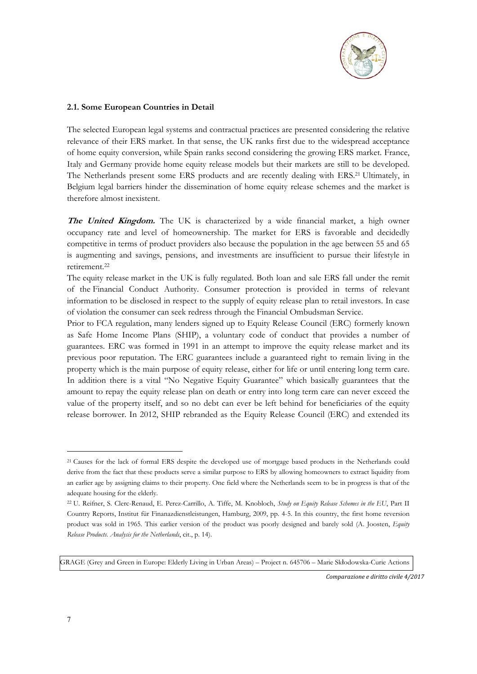

### **2.1. Some European Countries in Detail**

The selected European legal systems and contractual practices are presented considering the relative relevance of their ERS market. In that sense, the UK ranks first due to the widespread acceptance of home equity conversion, while Spain ranks second considering the growing ERS market. France, Italy and Germany provide home equity release models but their markets are still to be developed. The Netherlands present some ERS products and are recently dealing with ERS.21 Ultimately, in Belgium legal barriers hinder the dissemination of home equity release schemes and the market is therefore almost inexistent.

**The United Kingdom.** The UK is characterized by a wide financial market, a high owner occupancy rate and level of homeownership. The market for ERS is favorable and decidedly competitive in terms of product providers also because the population in the age between 55 and 65 is augmenting and savings, pensions, and investments are insufficient to pursue their lifestyle in retirement.22

The equity release market in the UK is fully regulated. Both loan and sale ERS fall under the remit of the Financial Conduct Authority. Consumer protection is provided in terms of relevant information to be disclosed in respect to the supply of equity release plan to retail investors. In case of violation the consumer can seek redress through the Financial Ombudsman Service.

Prior to FCA regulation, many lenders signed up to Equity Release Council (ERC) formerly known as Safe Home Income Plans (SHIP), a voluntary code of conduct that provides a number of guarantees. ERC was formed in 1991 in an attempt to improve the equity release market and its previous poor reputation. The ERC guarantees include a guaranteed right to remain living in the property which is the main purpose of equity release, either for life or until entering long term care. In addition there is a vital "No Negative Equity Guarantee" which basically guarantees that the amount to repay the equity release plan on death or entry into long term care can never exceed the value of the property itself, and so no debt can ever be left behind for beneficiaries of the equity release borrower. In 2012, SHIP rebranded as the Equity Release Council (ERC) and extended its

GRAGE (Grey and Green in Europe: Elderly Living in Urban Areas) – Project n. 645706 – Marie Skłodowska-Curie Actions

*Comparazione e diritto civile 4/2017* 

<sup>21</sup> Causes for the lack of formal ERS despite the developed use of mortgage based products in the Netherlands could derive from the fact that these products serve a similar purpose to ERS by allowing homeowners to extract liquidity from an earlier age by assigning claims to their property. One field where the Netherlands seem to be in progress is that of the adequate housing for the elderly.

<sup>22</sup> U. Reifner, S. Clerc-Renaud, E. Perez-Carrillo, A. Tiffe, M. Knobloch, *Study on Equity Release Schemes in the EU*, Part II Country Reports, Institut für Finanazdienstleistungen, Hamburg, 2009, pp. 4-5. In this country, the first home reversion product was sold in 1965. This earlier version of the product was poorly designed and barely sold (A. Joosten, *Equity Release Products. Analysis for the Netherlands*, cit., p. 14).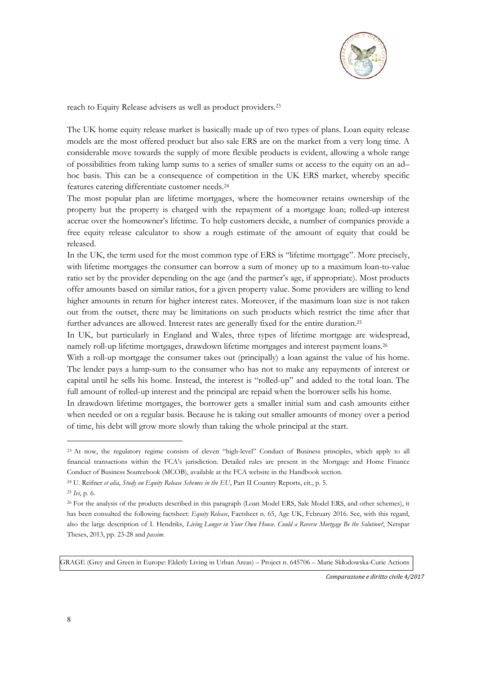

reach to Equity Release advisers as well as product providers.23

The UK home equity release market is basically made up of two types of plans. Loan equity release models are the most offered product but also sale ERS are on the market from a very long time. A considerable move towards the supply of more flexible products is evident, allowing a whole range of possibilities from taking lump sums to a series of smaller sums or access to the equity on an ad– hoc basis. This can be a consequence of competition in the UK ERS market, whereby specific features catering differentiate customer needs.24

The most popular plan are lifetime mortgages, where the homeowner retains ownership of the property but the property is charged with the repayment of a mortgage loan; rolled-up interest accrue over the homeowner's lifetime. To help customers decide, a number of companies provide a free equity release calculator to show a rough estimate of the amount of equity that could be released.

In the UK, the term used for the most common type of ERS is "lifetime mortgage". More precisely, with lifetime mortgages the consumer can borrow a sum of money up to a maximum loan-to-value ratio set by the provider depending on the age (and the partner's age, if appropriate). Most products offer amounts based on similar ratios, for a given property value. Some providers are willing to lend higher amounts in return for higher interest rates. Moreover, if the maximum loan size is not taken out from the outset, there may be limitations on such products which restrict the time after that further advances are allowed. Interest rates are generally fixed for the entire duration.25

In UK, but particularly in England and Wales, three types of lifetime mortgage are widespread, namely roll-up lifetime mortgages, drawdown lifetime mortgages and interest payment loans.26

With a roll-up mortgage the consumer takes out (principally) a loan against the value of his home. The lender pays a lump-sum to the consumer who has not to make any repayments of interest or capital until he sells his home. Instead, the interest is "rolled-up" and added to the total loan. The full amount of rolled-up interest and the principal are repaid when the borrower sells his home.

In drawdown lifetime mortgages, the borrower gets a smaller initial sum and cash amounts either when needed or on a regular basis. Because he is taking out smaller amounts of money over a period of time, his debt will grow more slowly than taking the whole principal at the start.

1

GRAGE (Grey and Green in Europe: Elderly Living in Urban Areas) – Project n. 645706 – Marie Skłodowska-Curie Actions

<sup>&</sup>lt;sup>23</sup> At now, the regulatory regime consists of eleven "high-level" Conduct of Business principles, which apply to all financial transactions within the FCA's jurisdiction. Detailed rules are present in the Mortgage and Home Finance Conduct of Business Sourcebook (MCOB), available at the FCA website in the Handbook section.

<sup>24</sup> U. Reifner *et alia*, *Study on Equity Release Schemes in the EU*, Part II Country Reports, cit., p. 5.

<sup>25</sup> *Ivi*, p. 6.

<sup>26</sup> For the analysis of the products described in this paragraph (Loan Model ERS, Sale Model ERS, and other schemes), it has been consulted the following factsheet: *Equity Release*, Factsheet n. 65, Age UK, February 2016. See, with this regard, also the large description of I. Hendriks, *Living Longer in Your Own House. Could a Reverse Mortgage Be the Solution?*, Netspar Theses, 2013, pp. 23-28 and *passim*.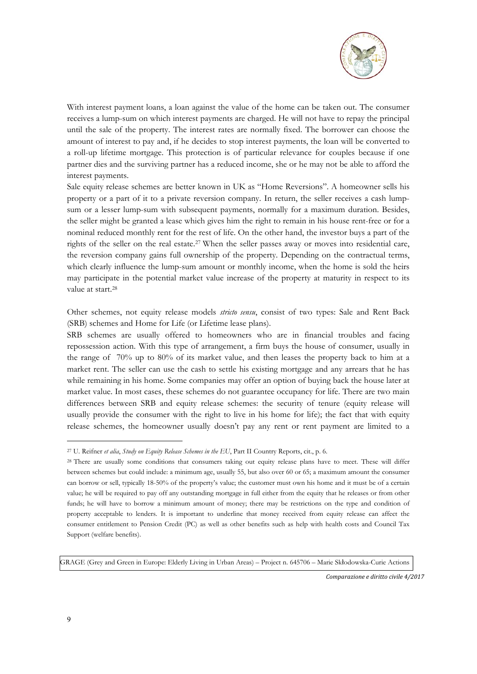

With interest payment loans, a loan against the value of the home can be taken out. The consumer receives a lump-sum on which interest payments are charged. He will not have to repay the principal until the sale of the property. The interest rates are normally fixed. The borrower can choose the amount of interest to pay and, if he decides to stop interest payments, the loan will be converted to a roll-up lifetime mortgage. This protection is of particular relevance for couples because if one partner dies and the surviving partner has a reduced income, she or he may not be able to afford the interest payments.

Sale equity release schemes are better known in UK as "Home Reversions". A homeowner sells his property or a part of it to a private reversion company. In return, the seller receives a cash lumpsum or a lesser lump-sum with subsequent payments, normally for a maximum duration. Besides, the seller might be granted a lease which gives him the right to remain in his house rent-free or for a nominal reduced monthly rent for the rest of life. On the other hand, the investor buys a part of the rights of the seller on the real estate.27 When the seller passes away or moves into residential care, the reversion company gains full ownership of the property. Depending on the contractual terms, which clearly influence the lump-sum amount or monthly income, when the home is sold the heirs may participate in the potential market value increase of the property at maturity in respect to its value at start.28

Other schemes, not equity release models *stricto sensu*, consist of two types: Sale and Rent Back (SRB) schemes and Home for Life (or Lifetime lease plans).

SRB schemes are usually offered to homeowners who are in financial troubles and facing repossession action. With this type of arrangement, a firm buys the house of consumer, usually in the range of 70% up to 80% of its market value, and then leases the property back to him at a market rent. The seller can use the cash to settle his existing mortgage and any arrears that he has while remaining in his home. Some companies may offer an option of buying back the house later at market value. In most cases, these schemes do not guarantee occupancy for life. There are two main differences between SRB and equity release schemes: the security of tenure (equity release will usually provide the consumer with the right to live in his home for life); the fact that with equity release schemes, the homeowner usually doesn't pay any rent or rent payment are limited to a

GRAGE (Grey and Green in Europe: Elderly Living in Urban Areas) – Project n. 645706 – Marie Skłodowska-Curie Actions

*Comparazione e diritto civile 4/2017* 

<sup>27</sup> U. Reifner *et alia*, *Study on Equity Release Schemes in the EU*, Part II Country Reports, cit., p. 6.

<sup>&</sup>lt;sup>28</sup> There are usually some conditions that consumers taking out equity release plans have to meet. These will differ between schemes but could include: a minimum age, usually 55, but also over 60 or 65; a maximum amount the consumer can borrow or sell, typically 18-50% of the property's value; the customer must own his home and it must be of a certain value; he will be required to pay off any outstanding mortgage in full either from the equity that he releases or from other funds; he will have to borrow a minimum amount of money; there may be restrictions on the type and condition of property acceptable to lenders. It is important to underline that money received from equity release can affect the consumer entitlement to Pension Credit (PC) as well as other benefits such as help with health costs and Council Tax Support (welfare benefits).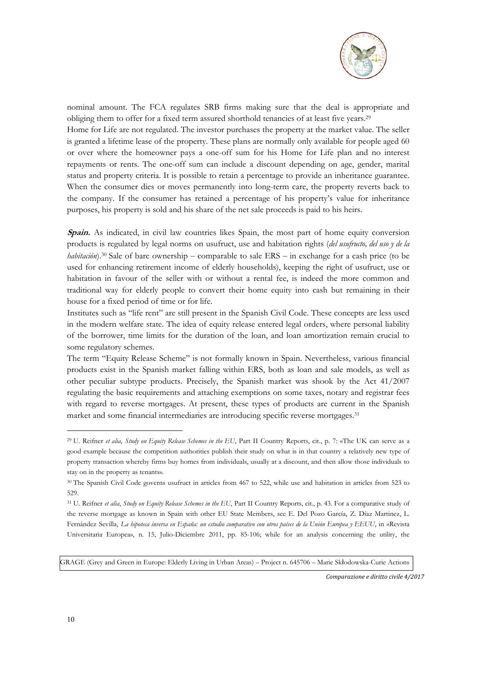

nominal amount. The FCA regulates SRB firms making sure that the deal is appropriate and obliging them to offer for a fixed term assured shorthold tenancies of at least five years.29 Home for Life are not regulated. The investor purchases the property at the market value. The seller is granted a lifetime lease of the property. These plans are normally only available for people aged 60 or over where the homeowner pays a one-off sum for his Home for Life plan and no interest repayments or rents. The one-off sum can include a discount depending on age, gender, marital status and property criteria. It is possible to retain a percentage to provide an inheritance guarantee. When the consumer dies or moves permanently into long-term care, the property reverts back to the company. If the consumer has retained a percentage of his property's value for inheritance purposes, his property is sold and his share of the net sale proceeds is paid to his heirs.

**Spain.** As indicated, in civil law countries likes Spain, the most part of home equity conversion products is regulated by legal norms on usufruct, use and habitation rights (*del usufructo, del uso y de la habitación*).<sup>30</sup> Sale of bare ownership – comparable to sale ERS – in exchange for a cash price (to be used for enhancing retirement income of elderly households), keeping the right of usufruct, use or habitation in favour of the seller with or without a rental fee, is indeed the more common and traditional way for elderly people to convert their home equity into cash but remaining in their house for a fixed period of time or for life.

Institutes such as "life rent" are still present in the Spanish Civil Code. These concepts are less used in the modern welfare state. The idea of equity release entered legal orders, where personal liability of the borrower, time limits for the duration of the loan, and loan amortization remain crucial to some regulatory schemes.

The term "Equity Release Scheme" is not formally known in Spain. Nevertheless, various financial products exist in the Spanish market falling within ERS, both as loan and sale models, as well as other peculiar subtype products. Precisely, the Spanish market was shook by the Act 41/2007 regulating the basic requirements and attaching exemptions on some taxes, notary and registrar fees with regard to reverse mortgages. At present, these types of products are current in the Spanish market and some financial intermediaries are introducing specific reverse mortgages.31

GRAGE (Grey and Green in Europe: Elderly Living in Urban Areas) – Project n. 645706 – Marie Skłodowska-Curie Actions

*Comparazione e diritto civile 4/2017* 

<sup>29</sup> U. Reifner *et alia*, *Study on Equity Release Schemes in the EU*, Part II Country Reports, cit., p. 7: «The UK can serve as a good example because the competition authorities publish their study on what is in that country a relatively new type of property transaction whereby firms buy homes from individuals, usually at a discount, and then allow those individuals to stay on in the property as tenants».

<sup>30</sup> The Spanish Civil Code governs usufruct in articles from 467 to 522, while use and habitation in articles from 523 to 529.

<sup>31</sup> U. Reifner *et alia*, *Study on Equity Release Schemes in the EU*, Part II Country Reports, cit., p. 43. For a comparative study of the reverse mortgage as known in Spain with other EU State Members, see E. Del Pozo García, Z. Díaz Martinez, L. Fernández Sevilla, *La hipoteca inversa en España: un estudio comparativo con otros países de la Unión Europea y EEUU*, in «Revista Universitaria Europea», n. 15, Julio-Diciembre 2011, pp. 85-106; while for an analysis concerning the utility, the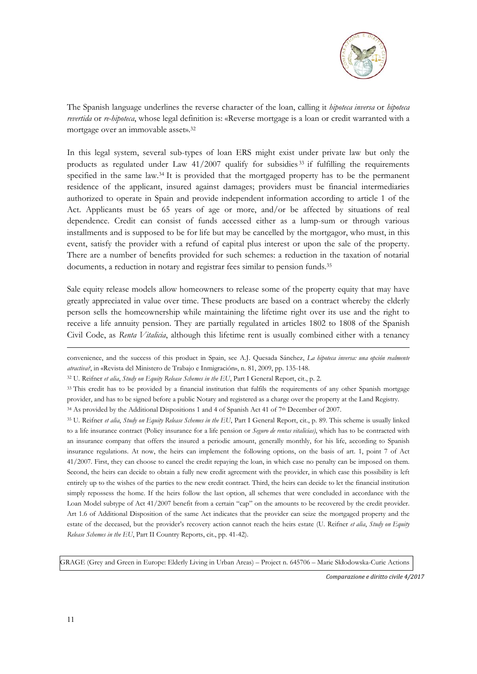

The Spanish language underlines the reverse character of the loan, calling it *hipoteca inversa* or *hipoteca revertida* or *re-hipoteca*, whose legal definition is: «Reverse mortgage is a loan or credit warranted with a mortgage over an immovable asset».32

In this legal system, several sub-types of loan ERS might exist under private law but only the products as regulated under Law  $41/2007$  qualify for subsidies  $33$  if fulfilling the requirements specified in the same law.34 It is provided that the mortgaged property has to be the permanent residence of the applicant, insured against damages; providers must be financial intermediaries authorized to operate in Spain and provide independent information according to article 1 of the Act. Applicants must be 65 years of age or more, and/or be affected by situations of real dependence. Credit can consist of funds accessed either as a lump-sum or through various installments and is supposed to be for life but may be cancelled by the mortgagor, who must, in this event, satisfy the provider with a refund of capital plus interest or upon the sale of the property. There are a number of benefits provided for such schemes: a reduction in the taxation of notarial documents, a reduction in notary and registrar fees similar to pension funds.<sup>35</sup>

Sale equity release models allow homeowners to release some of the property equity that may have greatly appreciated in value over time. These products are based on a contract whereby the elderly person sells the homeownership while maintaining the lifetime right over its use and the right to receive a life annuity pension. They are partially regulated in articles 1802 to 1808 of the Spanish Civil Code, as *Renta Vitalicia*, although this lifetime rent is usually combined either with a tenancy

convenience, and the success of this product in Spain, see A.J. Quesada Sánchez, *La hipoteca inversa: una opción realmente atractiva?*, in «Revista del Ministero de Trabajo e Inmigración», n. 81, 2009, pp. 135-148.

32 U. Reifner *et alia*, *Study on Equity Release Schemes in the EU*, Part I General Report, cit., p. 2.

<sup>34</sup> As provided by the Additional Dispositions 1 and 4 of Spanish Act 41 of 7<sup>th</sup> December of 2007.

GRAGE (Grey and Green in Europe: Elderly Living in Urban Areas) – Project n. 645706 – Marie Skłodowska-Curie Actions

*Comparazione e diritto civile 4/2017* 

<sup>&</sup>lt;sup>33</sup> This credit has to be provided by a financial institution that fulfils the requirements of any other Spanish mortgage provider, and has to be signed before a public Notary and registered as a charge over the property at the Land Registry.

<sup>35</sup> U. Reifner *et alia*, *Study on Equity Release Schemes in the EU*, Part I General Report, cit., p. 89. This scheme is usually linked to a life insurance contract (Policy insurance for a life pension or *Seguro de rentas vitalicias)*, which has to be contracted with an insurance company that offers the insured a periodic amount, generally monthly, for his life, according to Spanish insurance regulations. At now, the heirs can implement the following options, on the basis of art. 1, point 7 of Act 41/2007. First, they can choose to cancel the credit repaying the loan, in which case no penalty can be imposed on them. Second, the heirs can decide to obtain a fully new credit agreement with the provider, in which case this possibility is left entirely up to the wishes of the parties to the new credit contract. Third, the heirs can decide to let the financial institution simply repossess the home. If the heirs follow the last option, all schemes that were concluded in accordance with the Loan Model subtype of Act 41/2007 benefit from a certain "cap" on the amounts to be recovered by the credit provider. Art 1.6 of Additional Disposition of the same Act indicates that the provider can seize the mortgaged property and the estate of the deceased, but the provider's recovery action cannot reach the heirs estate (U. Reifner *et alia*, *Study on Equity Release Schemes in the EU*, Part II Country Reports, cit., pp. 41-42).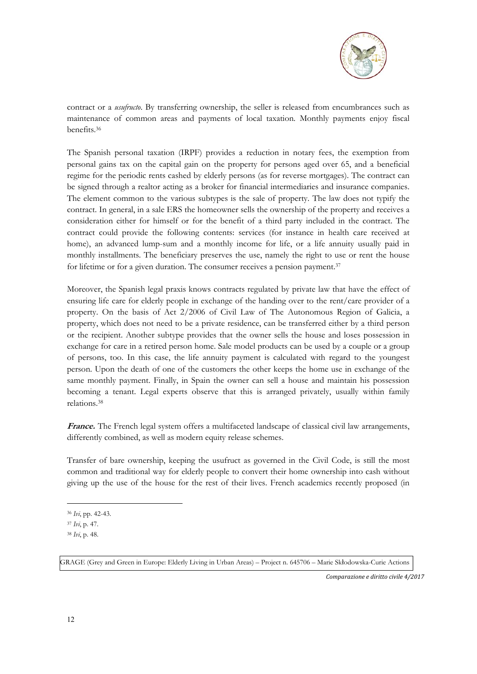

contract or a *usufructo*. By transferring ownership, the seller is released from encumbrances such as maintenance of common areas and payments of local taxation. Monthly payments enjoy fiscal benefits.36

The Spanish personal taxation (IRPF) provides a reduction in notary fees, the exemption from personal gains tax on the capital gain on the property for persons aged over 65, and a beneficial regime for the periodic rents cashed by elderly persons (as for reverse mortgages). The contract can be signed through a realtor acting as a broker for financial intermediaries and insurance companies. The element common to the various subtypes is the sale of property. The law does not typify the contract. In general, in a sale ERS the homeowner sells the ownership of the property and receives a consideration either for himself or for the benefit of a third party included in the contract. The contract could provide the following contents: services (for instance in health care received at home), an advanced lump-sum and a monthly income for life, or a life annuity usually paid in monthly installments. The beneficiary preserves the use, namely the right to use or rent the house for lifetime or for a given duration. The consumer receives a pension payment.<sup>37</sup>

Moreover, the Spanish legal praxis knows contracts regulated by private law that have the effect of ensuring life care for elderly people in exchange of the handing over to the rent/care provider of a property. On the basis of Act 2/2006 of Civil Law of The Autonomous Region of Galicia, a property, which does not need to be a private residence, can be transferred either by a third person or the recipient. Another subtype provides that the owner sells the house and loses possession in exchange for care in a retired person home. Sale model products can be used by a couple or a group of persons, too. In this case, the life annuity payment is calculated with regard to the youngest person. Upon the death of one of the customers the other keeps the home use in exchange of the same monthly payment. Finally, in Spain the owner can sell a house and maintain his possession becoming a tenant. Legal experts observe that this is arranged privately, usually within family relations.38

**France.** The French legal system offers a multifaceted landscape of classical civil law arrangements, differently combined, as well as modern equity release schemes.

Transfer of bare ownership, keeping the usufruct as governed in the Civil Code, is still the most common and traditional way for elderly people to convert their home ownership into cash without giving up the use of the house for the rest of their lives. French academics recently proposed (in

1

GRAGE (Grey and Green in Europe: Elderly Living in Urban Areas) – Project n. 645706 – Marie Skłodowska-Curie Actions

<sup>36</sup> *Ivi*, pp. 42-43.

<sup>37</sup> *Ivi*, p. 47.

<sup>38</sup> *Ivi*, p. 48.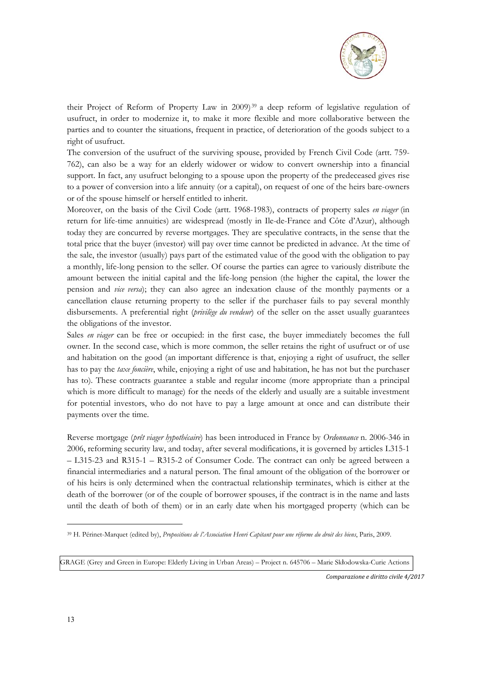

their Project of Reform of Property Law in 2009) 39 a deep reform of legislative regulation of usufruct, in order to modernize it, to make it more flexible and more collaborative between the parties and to counter the situations, frequent in practice, of deterioration of the goods subject to a right of usufruct.

The conversion of the usufruct of the surviving spouse, provided by French Civil Code (artt. 759- 762), can also be a way for an elderly widower or widow to convert ownership into a financial support. In fact, any usufruct belonging to a spouse upon the property of the predeceased gives rise to a power of conversion into a life annuity (or a capital), on request of one of the heirs bare-owners or of the spouse himself or herself entitled to inherit.

Moreover, on the basis of the Civil Code (artt. 1968-1983), contracts of property sales *en viager* (in return for life-time annuities) are widespread (mostly in Ile-de-France and Côte d'Azur), although today they are concurred by reverse mortgages. They are speculative contracts, in the sense that the total price that the buyer (investor) will pay over time cannot be predicted in advance. At the time of the sale, the investor (usually) pays part of the estimated value of the good with the obligation to pay a monthly, life-long pension to the seller. Of course the parties can agree to variously distribute the amount between the initial capital and the life-long pension (the higher the capital, the lower the pension and *vice versa*); they can also agree an indexation clause of the monthly payments or a cancellation clause returning property to the seller if the purchaser fails to pay several monthly disbursements. A preferential right (*privilège du vendeur*) of the seller on the asset usually guarantees the obligations of the investor.

Sales *en viager* can be free or occupied: in the first case, the buyer immediately becomes the full owner. In the second case, which is more common, the seller retains the right of usufruct or of use and habitation on the good (an important difference is that, enjoying a right of usufruct, the seller has to pay the *taxe foncière*, while, enjoying a right of use and habitation, he has not but the purchaser has to). These contracts guarantee a stable and regular income (more appropriate than a principal which is more difficult to manage) for the needs of the elderly and usually are a suitable investment for potential investors, who do not have to pay a large amount at once and can distribute their payments over the time.

Reverse mortgage (*prêt viager hypothécaire*) has been introduced in France by *Ordonnance* n. 2006-346 in 2006, reforming security law, and today, after several modifications, it is governed by articles L315-1 – L315-23 and R315-1 – R315-2 of Consumer Code. The contract can only be agreed between a financial intermediaries and a natural person. The final amount of the obligation of the borrower or of his heirs is only determined when the contractual relationship terminates, which is either at the death of the borrower (or of the couple of borrower spouses, if the contract is in the name and lasts until the death of both of them) or in an early date when his mortgaged property (which can be

GRAGE (Grey and Green in Europe: Elderly Living in Urban Areas) – Project n. 645706 – Marie Skłodowska-Curie Actions

*Comparazione e diritto civile 4/2017* 

<sup>39</sup> H. Périnet-Marquet (edited by), *Propositions de l'Association Henri Capitant pour une réforme du droit des biens*, Paris, 2009.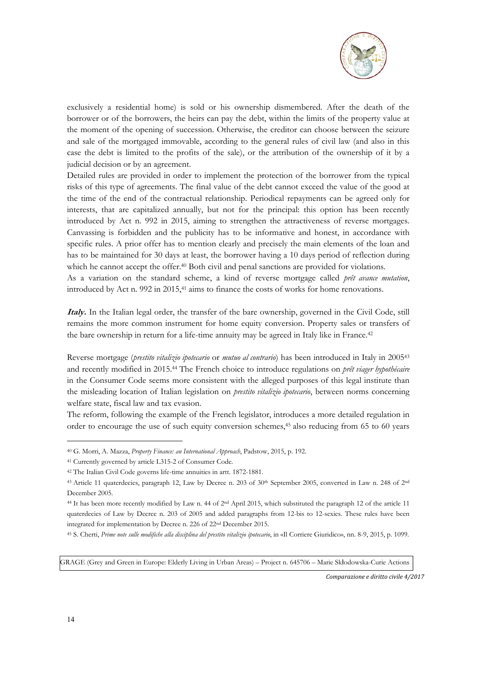

exclusively a residential home) is sold or his ownership dismembered. After the death of the borrower or of the borrowers, the heirs can pay the debt, within the limits of the property value at the moment of the opening of succession. Otherwise, the creditor can choose between the seizure and sale of the mortgaged immovable, according to the general rules of civil law (and also in this case the debt is limited to the profits of the sale), or the attribution of the ownership of it by a judicial decision or by an agreement.

Detailed rules are provided in order to implement the protection of the borrower from the typical risks of this type of agreements. The final value of the debt cannot exceed the value of the good at the time of the end of the contractual relationship. Periodical repayments can be agreed only for interests, that are capitalized annually, but not for the principal: this option has been recently introduced by Act n. 992 in 2015, aiming to strengthen the attractiveness of reverse mortgages. Canvassing is forbidden and the publicity has to be informative and honest, in accordance with specific rules. A prior offer has to mention clearly and precisely the main elements of the loan and has to be maintained for 30 days at least, the borrower having a 10 days period of reflection during which he cannot accept the offer.<sup>40</sup> Both civil and penal sanctions are provided for violations. As a variation on the standard scheme, a kind of reverse mortgage called *prêt avance mutation*,

introduced by Act n. 992 in 2015,41 aims to finance the costs of works for home renovations.

**Italy.** In the Italian legal order, the transfer of the bare ownership, governed in the Civil Code, still remains the more common instrument for home equity conversion. Property sales or transfers of the bare ownership in return for a life-time annuity may be agreed in Italy like in France.42

Reverse mortgage (*prestito vitalizio ipotecario* or *mutuo al contrario*) has been introduced in Italy in 200543 and recently modified in 2015.44 The French choice to introduce regulations on *prêt viager hypothécaire* in the Consumer Code seems more consistent with the alleged purposes of this legal institute than the misleading location of Italian legislation on *prestito vitalizio ipotecario*, between norms concerning welfare state, fiscal law and tax evasion.

The reform, following the example of the French legislator, introduces a more detailed regulation in order to encourage the use of such equity conversion schemes,45 also reducing from 65 to 60 years

GRAGE (Grey and Green in Europe: Elderly Living in Urban Areas) – Project n. 645706 – Marie Skłodowska-Curie Actions

*Comparazione e diritto civile 4/2017* 

<sup>40</sup> G. Morri, A. Mazza, *Property Finance: an International Approach*, Padstow, 2015, p. 192.

<sup>41</sup> Currently governed by article L315-2 of Consumer Code.

<sup>42</sup> The Italian Civil Code governs life-time annuities in artt. 1872-1881.

<sup>&</sup>lt;sup>43</sup> Article 11 quaterdecies, paragraph 12, Law by Decree n. 203 of 30<sup>th</sup> September 2005, converted in Law n. 248 of 2<sup>nd</sup> December 2005.

<sup>44</sup> It has been more recently modified by Law n. 44 of 2<sup>nd</sup> April 2015, which substituted the paragraph 12 of the article 11 quaterdecies of Law by Decree n. 203 of 2005 and added paragraphs from 12-bis to 12-sexies. These rules have been integrated for implementation by Decree n. 226 of 22nd December 2015.

<sup>45</sup> S. Cherti, *Prime note sulle modifiche alla disciplina del prestito vitalizio ipotecario*, in «Il Corriere Giuridico», nn. 8-9, 2015, p. 1099.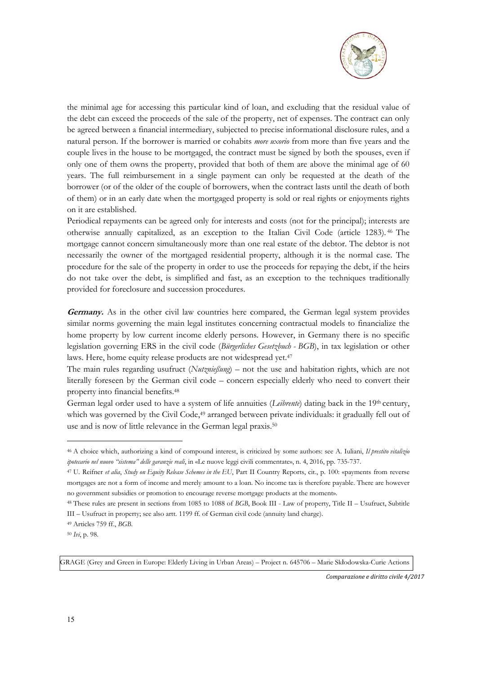

the minimal age for accessing this particular kind of loan, and excluding that the residual value of the debt can exceed the proceeds of the sale of the property, net of expenses. The contract can only be agreed between a financial intermediary, subjected to precise informational disclosure rules, and a natural person. If the borrower is married or cohabits *more uxorio* from more than five years and the couple lives in the house to be mortgaged, the contract must be signed by both the spouses, even if only one of them owns the property, provided that both of them are above the minimal age of 60 years. The full reimbursement in a single payment can only be requested at the death of the borrower (or of the older of the couple of borrowers, when the contract lasts until the death of both of them) or in an early date when the mortgaged property is sold or real rights or enjoyments rights on it are established.

Periodical repayments can be agreed only for interests and costs (not for the principal); interests are otherwise annually capitalized, as an exception to the Italian Civil Code (article 1283). 46 The mortgage cannot concern simultaneously more than one real estate of the debtor. The debtor is not necessarily the owner of the mortgaged residential property, although it is the normal case. The procedure for the sale of the property in order to use the proceeds for repaying the debt, if the heirs do not take over the debt, is simplified and fast, as an exception to the techniques traditionally provided for foreclosure and succession procedures.

**Germany.** As in the other civil law countries here compared, the German legal system provides similar norms governing the main legal institutes concerning contractual models to financialize the home property by low current income elderly persons. However, in Germany there is no specific legislation governing ERS in the civil code (*Bürgerliches Gesetzbuch - BGB*), in tax legislation or other laws. Here, home equity release products are not widespread yet.<sup>47</sup>

The main rules regarding usufruct (*Nutznießung*) – not the use and habitation rights, which are not literally foreseen by the German civil code – concern especially elderly who need to convert their property into financial benefits.48

German legal order used to have a system of life annuities (*Leibrente*) dating back in the 19<sup>th</sup> century, which was governed by the Civil Code,<sup>49</sup> arranged between private individuals: it gradually fell out of use and is now of little relevance in the German legal praxis.<sup>50</sup>

1

GRAGE (Grey and Green in Europe: Elderly Living in Urban Areas) – Project n. 645706 – Marie Skłodowska-Curie Actions

<sup>46</sup> A choice which, authorizing a kind of compound interest, is criticized by some authors: see A. Iuliani, *Il prestito vitalizio ipotecario nel nuovo "sistema" delle garanzie reali*, in «Le nuove leggi civili commentate», n. 4, 2016, pp. 735-737.

<sup>47</sup> U. Reifner *et alia*, *Study on Equity Release Schemes in the EU*, Part II Country Reports, cit., p. 100: «payments from reverse mortgages are not a form of income and merely amount to a loan. No income tax is therefore payable. There are however no government subsidies or promotion to encourage reverse mortgage products at the moment».

<sup>48</sup> These rules are present in sections from 1085 to 1088 of *BGB*, Book III - Law of property, Title II – Usufruct, Subtitle III – Usufruct in property; see also artt. 1199 ff. of German civil code (annuity land charge).

<sup>49</sup> Articles 759 ff., *BGB*.

<sup>50</sup> *Ivi*, p. 98.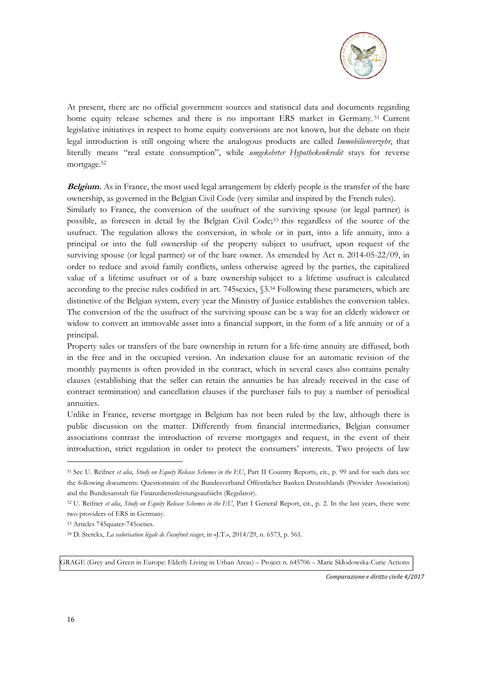

At present, there are no official government sources and statistical data and documents regarding home equity release schemes and there is no important ERS market in Germany. 51 Current legislative initiatives in respect to home equity conversions are not known, but the debate on their legal introduction is still ongoing where the analogous products are called *Immobilienverzehr*, that literally means "real estate consumption", while *umgekehrter Hypothekenkredit* stays for reverse mortgage.52

**Belgium.** As in France, the most used legal arrangement by elderly people is the transfer of the bare ownership, as governed in the Belgian Civil Code (very similar and inspired by the French rules).

Similarly to France, the conversion of the usufruct of the surviving spouse (or legal partner) is possible, as foreseen in detail by the Belgian Civil Code;53 this regardless of the source of the usufruct. The regulation allows the conversion, in whole or in part, into a life annuity, into a principal or into the full ownership of the property subject to usufruct, upon request of the surviving spouse (or legal partner) or of the bare owner. As emended by Act n. 2014-05-22/09, in order to reduce and avoid family conflicts, unless otherwise agreed by the parties, the capitalized value of a lifetime usufruct or of a bare ownership subject to a lifetime usufruct is calculated according to the precise rules codified in art. 745sexies, §3.54 Following these parameters, which are distinctive of the Belgian system, every year the Ministry of Justice establishes the conversion tables. The conversion of the the usufruct of the surviving spouse can be a way for an elderly widower or widow to convert an immovable asset into a financial support, in the form of a life annuity or of a principal.

Property sales or transfers of the bare ownership in return for a life-time annuity are diffused, both in the free and in the occupied version. An indexation clause for an automatic revision of the monthly payments is often provided in the contract, which in several cases also contains penalty clauses (establishing that the seller can retain the annuities he has already received in the case of contract termination) and cancellation clauses if the purchaser fails to pay a number of periodical annuities.

Unlike in France, reverse mortgage in Belgium has not been ruled by the law, although there is public discussion on the matter. Differently from financial intermediaries, Belgian consumer associations contrast the introduction of reverse mortgages and request, in the event of their introduction, strict regulation in order to protect the consumers' interests. Two projects of law

53 Articles 745quater-745octies.

GRAGE (Grey and Green in Europe: Elderly Living in Urban Areas) – Project n. 645706 – Marie Skłodowska-Curie Actions

*Comparazione e diritto civile 4/2017* 

<sup>51</sup> See U. Reifner *et alia*, *Study on Equity Release Schemes in the EU*, Part II Country Reports, cit., p. 99 and for such data see the following documents: Questionnaire of the Bundesverband Öffentlicher Banken Deutschlands (Provider Association) and the Bundesanstalt für Finanzdienstleistungsaufsicht (Regulator).

<sup>52</sup> U. Reifner *et alia*, *Study on Equity Release Schemes in the EU*, Part I General Report, cit., p. 2. In the last years, there were two providers of ERS in Germany.

<sup>54</sup> D. Sterckx, *La valorisation légale de l'usufruit viager*, in «J.T.», 2014/29, n. 6573, p. 561.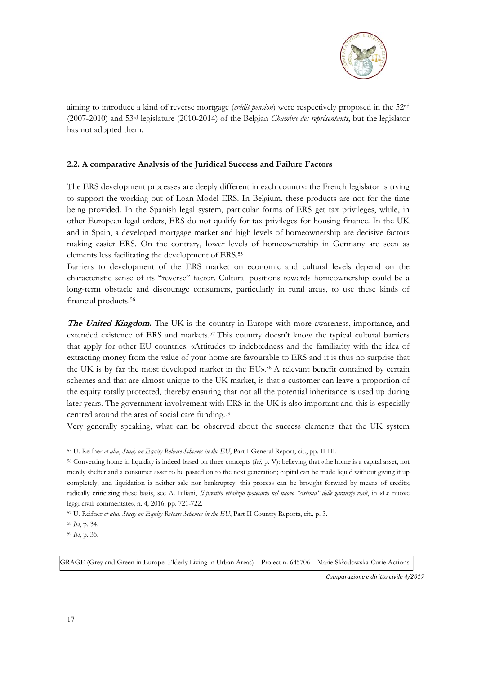

aiming to introduce a kind of reverse mortgage (*crédit pension*) were respectively proposed in the 52nd (2007-2010) and 53rd legislature (2010-2014) of the Belgian *Chambre des représentants*, but the legislator has not adopted them.

### **2.2. A comparative Analysis of the Juridical Success and Failure Factors**

The ERS development processes are deeply different in each country: the French legislator is trying to support the working out of Loan Model ERS. In Belgium, these products are not for the time being provided. In the Spanish legal system, particular forms of ERS get tax privileges, while, in other European legal orders, ERS do not qualify for tax privileges for housing finance. In the UK and in Spain, a developed mortgage market and high levels of homeownership are decisive factors making easier ERS. On the contrary, lower levels of homeownership in Germany are seen as elements less facilitating the development of ERS.55

Barriers to development of the ERS market on economic and cultural levels depend on the characteristic sense of its "reverse" factor. Cultural positions towards homeownership could be a long-term obstacle and discourage consumers, particularly in rural areas, to use these kinds of financial products.56

**The United Kingdom.** The UK is the country in Europe with more awareness, importance, and extended existence of ERS and markets.57 This country doesn't know the typical cultural barriers that apply for other EU countries. «Attitudes to indebtedness and the familiarity with the idea of extracting money from the value of your home are favourable to ERS and it is thus no surprise that the UK is by far the most developed market in the EU».58 A relevant benefit contained by certain schemes and that are almost unique to the UK market, is that a customer can leave a proportion of the equity totally protected, thereby ensuring that not all the potential inheritance is used up during later years. The government involvement with ERS in the UK is also important and this is especially centred around the area of social care funding.59

Very generally speaking, what can be observed about the success elements that the UK system

1

GRAGE (Grey and Green in Europe: Elderly Living in Urban Areas) – Project n. 645706 – Marie Skłodowska-Curie Actions

<sup>55</sup> U. Reifner *et alia*, *Study on Equity Release Schemes in the EU*, Part I General Report, cit., pp. II-III.

<sup>56</sup> Converting home in liquidity is indeed based on three concepts (*Ivi*, p. V): believing that «the home is a capital asset, not merely shelter and a consumer asset to be passed on to the next generation; capital can be made liquid without giving it up completely, and liquidation is neither sale nor bankruptcy; this process can be brought forward by means of credit»; radically criticizing these basis, see A. Iuliani, *Il prestito vitalizio ipotecario nel nuovo "sistema" delle garanzie reali*, in «Le nuove leggi civili commentate», n. 4, 2016, pp. 721-722.

<sup>57</sup> U. Reifner *et alia*, *Study on Equity Release Schemes in the EU*, Part II Country Reports, cit., p. 3.

<sup>58</sup> *Ivi*, p. 34.

<sup>59</sup> *Ivi*, p. 35.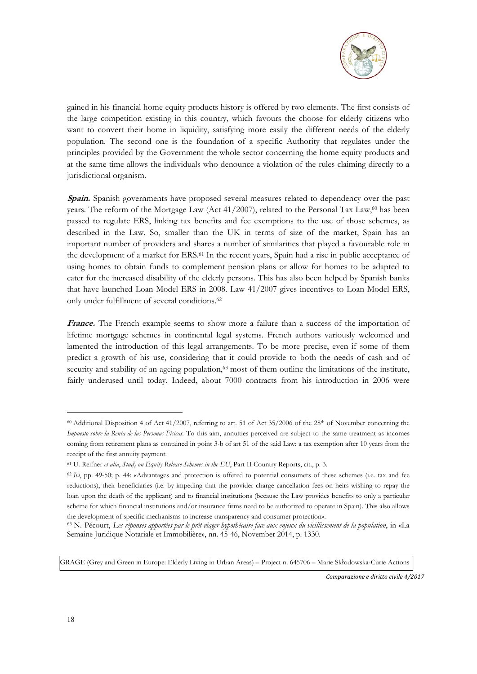

gained in his financial home equity products history is offered by two elements. The first consists of the large competition existing in this country, which favours the choose for elderly citizens who want to convert their home in liquidity, satisfying more easily the different needs of the elderly population. The second one is the foundation of a specific Authority that regulates under the principles provided by the Government the whole sector concerning the home equity products and at the same time allows the individuals who denounce a violation of the rules claiming directly to a jurisdictional organism.

**Spain.** Spanish governments have proposed several measures related to dependency over the past years. The reform of the Mortgage Law (Act  $41/2007$ ), related to the Personal Tax Law,<sup>60</sup> has been passed to regulate ERS, linking tax benefits and fee exemptions to the use of those schemes, as described in the Law. So, smaller than the UK in terms of size of the market, Spain has an important number of providers and shares a number of similarities that played a favourable role in the development of a market for ERS.<sup>61</sup> In the recent years, Spain had a rise in public acceptance of using homes to obtain funds to complement pension plans or allow for homes to be adapted to cater for the increased disability of the elderly persons. This has also been helped by Spanish banks that have launched Loan Model ERS in 2008. Law 41/2007 gives incentives to Loan Model ERS, only under fulfillment of several conditions.62

France. The French example seems to show more a failure than a success of the importation of lifetime mortgage schemes in continental legal systems. French authors variously welcomed and lamented the introduction of this legal arrangements. To be more precise, even if some of them predict a growth of his use, considering that it could provide to both the needs of cash and of security and stability of an ageing population,<sup>63</sup> most of them outline the limitations of the institute, fairly underused until today. Indeed, about 7000 contracts from his introduction in 2006 were

GRAGE (Grey and Green in Europe: Elderly Living in Urban Areas) – Project n. 645706 – Marie Skłodowska-Curie Actions

*Comparazione e diritto civile 4/2017* 

 $60$  Additional Disposition 4 of Act 41/2007, referring to art. 51 of Act 35/2006 of the 28<sup>th</sup> of November concerning the *Impuesto sobre la Renta de las Personas Físicas*. To this aim, annuities perceived are subject to the same treatment as incomes coming from retirement plans as contained in point 3-b of art 51 of the said Law: a tax exemption after 10 years from the receipt of the first annuity payment.

<sup>61</sup> U. Reifner *et alia*, *Study on Equity Release Schemes in the EU*, Part II Country Reports, cit., p. 3.

<sup>62</sup> *Ivi*, pp. 49-50; p. 44: «Advantages and protection is offered to potential consumers of these schemes (i.e. tax and fee reductions), their beneficiaries (i.e. by impeding that the provider charge cancellation fees on heirs wishing to repay the loan upon the death of the applicant) and to financial institutions (because the Law provides benefits to only a particular scheme for which financial institutions and/or insurance firms need to be authorized to operate in Spain). This also allows the development of specific mechanisms to increase transparency and consumer protection».

<sup>63</sup> N. Pécourt, *Les réponses apportées par le prêt viager hypothécaire face aux enjeux du vieillissement de la population*, in «La Semaine Juridique Notariale et Immobilière», nn. 45-46, November 2014, p. 1330.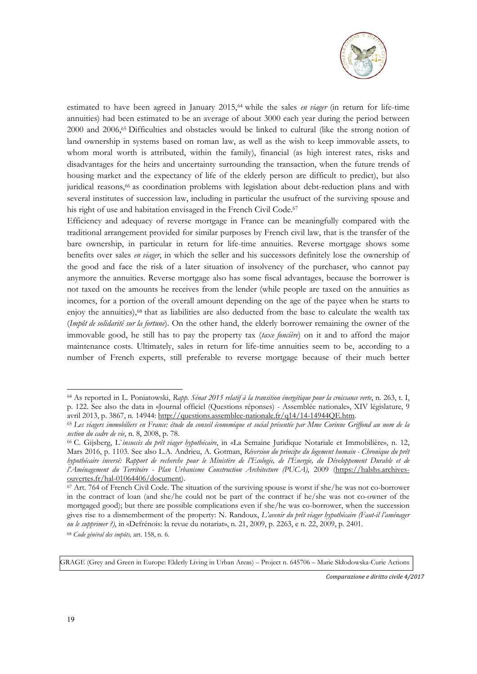

estimated to have been agreed in January 2015,64 while the sales *en viager* (in return for life-time annuities) had been estimated to be an average of about 3000 each year during the period between 2000 and 2006,65 Difficulties and obstacles would be linked to cultural (like the strong notion of land ownership in systems based on roman law, as well as the wish to keep immovable assets, to whom moral worth is attributed, within the family), financial (as high interest rates, risks and disadvantages for the heirs and uncertainty surrounding the transaction, when the future trends of housing market and the expectancy of life of the elderly person are difficult to predict), but also juridical reasons,<sup>66</sup> as coordination problems with legislation about debt-reduction plans and with several institutes of succession law, including in particular the usufruct of the surviving spouse and his right of use and habitation envisaged in the French Civil Code.<sup>67</sup>

Efficiency and adequacy of reverse mortgage in France can be meaningfully compared with the traditional arrangement provided for similar purposes by French civil law, that is the transfer of the bare ownership, in particular in return for life-time annuities. Reverse mortgage shows some benefits over sales *en viager*, in which the seller and his successors definitely lose the ownership of the good and face the risk of a later situation of insolvency of the purchaser, who cannot pay anymore the annuities. Reverse mortgage also has some fiscal advantages, because the borrower is not taxed on the amounts he receives from the lender (while people are taxed on the annuities as incomes, for a portion of the overall amount depending on the age of the payee when he starts to enjoy the annuities),<sup>68</sup> that as liabilities are also deducted from the base to calculate the wealth tax (*Impôt de solidarité sur la fortune*). On the other hand, the elderly borrower remaining the owner of the immovable good, he still has to pay the property tax (*taxe foncière*) on it and to afford the major maintenance costs. Ultimately, sales in return for life-time annuities seem to be, according to a number of French experts, still preferable to reverse mortgage because of their much better

GRAGE (Grey and Green in Europe: Elderly Living in Urban Areas) – Project n. 645706 – Marie Skłodowska-Curie Actions

*Comparazione e diritto civile 4/2017* 

<sup>64</sup> As reported in L. Poniatowski, *Rapp. Sénat 2015 relatif à la transition énergétique pour la croissance verte*, n. 263, t. I, p. 122. See also the data in «Journal officiel (Questions réponses) - Assemblée nationale», XIV législature, 9

avril 2013, p. 3867, n. 14944: http://questions.assemblee-nationale.fr/q14/14-14944QE.htm. 65 *Les viagers immobiliers en France: étude du conseil économique et social présentée par Mme Corinne Griffond au nom de la section du cadre de vie*, n. 8, 2008, p. 78.<br><sup>66</sup> C. Gijsberg, L`*insuccès du prêt viager hypothécaire*, in «La Semaine Juridique Notariale et Immobilière», n. 12,

Mars 2016, p. 1103. See also L.A. Andrieu, A. Gotman, *Réversion du principe du logement humain - Chronique du prêt hypothécaire inversé: Rapport de recherche pour le Ministère de l'Ecologie, de l'Energie, du Développement Durable et de l'Aménagement du Territoire - Plan Urbanisme Construction Architecture (PUCA)*, 2009 (https://halshs.archivesouvertes.fr/hal-01064406/document).

<sup>67</sup> Art. 764 of French Civil Code. The situation of the surviving spouse is worst if she/he was not co-borrower in the contract of loan (and she/he could not be part of the contract if he/she was not co-owner of the mortgaged good); but there are possible complications even if she/he was co-borrower, when the succession gives rise to a dismemberment of the property: N. Randoux, *L'avenir du prêt viager hypothécaire (Faut-il l'aménager ou le supprimer ?)*, in «Defrénois: la revue du notariat», n. 21, 2009, p. 2263, e n. 22, 2009, p. 2401.

<sup>68</sup> *Code général des impôts,* art. 158, n. 6.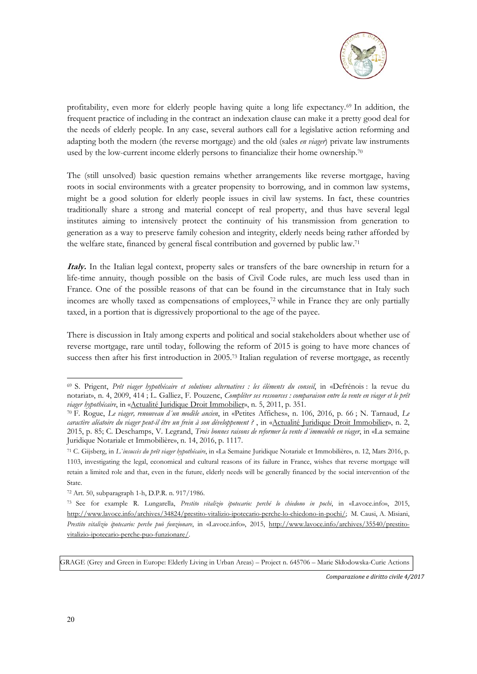

profitability, even more for elderly people having quite a long life expectancy.69 In addition, the frequent practice of including in the contract an indexation clause can make it a pretty good deal for the needs of elderly people. In any case, several authors call for a legislative action reforming and adapting both the modern (the reverse mortgage) and the old (sales *en viager*) private law instruments used by the low-current income elderly persons to financialize their home ownership.70

The (still unsolved) basic question remains whether arrangements like reverse mortgage, having roots in social environments with a greater propensity to borrowing, and in common law systems, might be a good solution for elderly people issues in civil law systems. In fact, these countries traditionally share a strong and material concept of real property, and thus have several legal institutes aiming to intensively protect the continuity of his transmission from generation to generation as a way to preserve family cohesion and integrity, elderly needs being rather afforded by the welfare state, financed by general fiscal contribution and governed by public law.71

**Italy.** In the Italian legal context, property sales or transfers of the bare ownership in return for a life-time annuity, though possible on the basis of Civil Code rules, are much less used than in France. One of the possible reasons of that can be found in the circumstance that in Italy such incomes are wholly taxed as compensations of employees,72 while in France they are only partially taxed, in a portion that is digressively proportional to the age of the payee.

There is discussion in Italy among experts and political and social stakeholders about whether use of reverse mortgage, rare until today, following the reform of 2015 is going to have more chances of success then after his first introduction in 2005.73 Italian regulation of reverse mortgage, as recently

GRAGE (Grey and Green in Europe: Elderly Living in Urban Areas) – Project n. 645706 – Marie Skłodowska-Curie Actions

*Comparazione e diritto civile 4/2017* 

<sup>69</sup> S. Prigent, *Prêt viager hypothécaire et solutions alternatives : les éléments du conseil*, in «Defrénois : la revue du notariat», n. 4, 2009, 414 ; L. Galliez, F. Pouzenc, *Compléter ses ressources : comparaison entre la vente en viager et le prêt viager hypothécaire*, in «Actualité Juridique Droit Immobilier», n. 5, 2011, p. 351. 70 F. Rogue, *Le viager, renouveau d´un modèle ancien*, in «Petites Affiches», n. 106, 2016, p. 66 ; N. Tarnaud, *Le* 

*caractère aléatoire du viager peut-il être un frein à son développement ?* , in «Actualité Juridique Droit Immobilier», n. 2, 2015, p. 85; C. Deschamps, V. Legrand, *Trois bonnes raisons de reformer la vente d´immeuble en viager*, in «La semaine Juridique Notariale et Immobilière», n. 14, 2016, p. 1117.

<sup>71</sup> C. Gijsberg, in *L`insuccès du prêt viager hypothécaire*, in «La Semaine Juridique Notariale et Immobilière», n. 12, Mars 2016, p. 1103, investigating the legal, economical and cultural reasons of its failure in France, wishes that reverse mortgage will retain a limited role and that, even in the future, elderly needs will be generally financed by the social intervention of the State.

<sup>72</sup> Art. 50, subparagraph 1-h, D.P.R. n. 917/1986.

<sup>73</sup> See for example R. Lungarella, *Prestito vitalizio ipotecario: perché lo chiedono in pochi*, in «Lavoce.info», 2015, http://www.lavoce.info/archives/34824/prestito-vitalizio-ipotecario-perche-lo-chiedono-in-pochi/; M. Causi, A. Misiani, *Prestito vitalizio ipotecario: perche può funzionare*, in «Lavoce.info», 2015, http://www.lavoce.info/archives/35540/prestitovitalizio-ipotecario-perche-puo-funzionare/.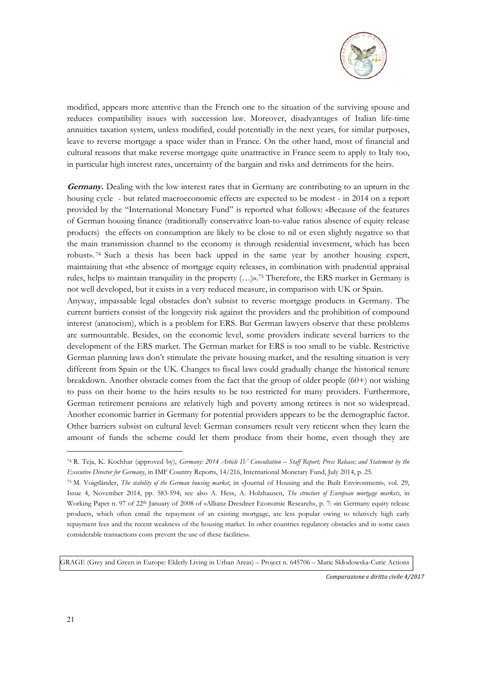

modified, appears more attentive than the French one to the situation of the surviving spouse and reduces compatibility issues with succession law. Moreover, disadvantages of Italian life-time annuities taxation system, unless modified, could potentially in the next years, for similar purposes, leave to reverse mortgage a space wider than in France. On the other hand, most of financial and cultural reasons that make reverse mortgage quite unattractive in France seem to apply to Italy too, in particular high interest rates, uncertainty of the bargain and risks and detriments for the heirs.

**Germany.** Dealing with the low interest rates that in Germany are contributing to an upturn in the housing cycle - but related macroeconomic effects are expected to be modest - in 2014 on a report provided by the "International Monetary Fund" is reported what follows: «Because of the features of German housing finance (traditionally conservative loan-to-value ratios absence of equity release products) the effects on consumption are likely to be close to nil or even slightly negative so that the main transmission channel to the economy is through residential investment, which has been robust». 74 Such a thesis has been back upped in the same year by another housing expert, maintaining that «the absence of mortgage equity releases, in combination with prudential appraisal rules, helps to maintain tranquility in the property  $(...)$ ».<sup>75</sup> Therefore, the ERS market in Germany is not well developed, but it exists in a very reduced measure, in comparison with UK or Spain.

Anyway, impassable legal obstacles don't subsist to reverse mortgage products in Germany. The current barriers consist of the longevity risk against the providers and the prohibition of compound interest (anatocism), which is a problem for ERS. But German lawyers observe that these problems are surmountable. Besides, on the economic level, some providers indicate several barriers to the development of the ERS market. The German market for ERS is too small to be viable. Restrictive German planning laws don't stimulate the private housing market, and the resulting situation is very different from Spain or the UK. Changes to fiscal laws could gradually change the historical tenure breakdown. Another obstacle comes from the fact that the group of older people (60+) not wishing to pass on their home to the heirs results to be too restricted for many providers. Furthermore, German retirement pensions are relatively high and poverty among retirees is not so widespread. Another economic barrier in Germany for potential providers appears to be the demographic factor. Other barriers subsist on cultural level: German consumers result very reticent when they learn the amount of funds the scheme could let them produce from their home, even though they are

GRAGE (Grey and Green in Europe: Elderly Living in Urban Areas) – Project n. 645706 – Marie Skłodowska-Curie Actions

*Comparazione e diritto civile 4/2017* 

<sup>74</sup> R. Teja, K. Kochhar (approved by), *Germany: 2014 Article IV Consultation – Staff Report; Press Release; and Statement by the Executive Director for Germany*, in IMF Country Reports, 14/216, International Monetary Fund, July 2014, p. 25.

<sup>75</sup> M. Voigtländer, *The stability of the German housing market*, in «Journal of Housing and the Built Environment», vol. 29, Issue 4, November 2014, pp. 583-594; see also A. Hess, A. Holzhausen, *The structure of European mortgage markets*, in Working Paper n. 97 of 22<sup>th</sup> January of 2008 of «Allianz Dresdner Economic Research», p. 7: «in Germany equity release products, which often entail the repayment of an existing mortgage, are less popular owing to relatively high early repayment fees and the recent weakness of the housing market. In other countries regulatory obstacles and in some cases considerable transactions costs prevent the use of these facilities».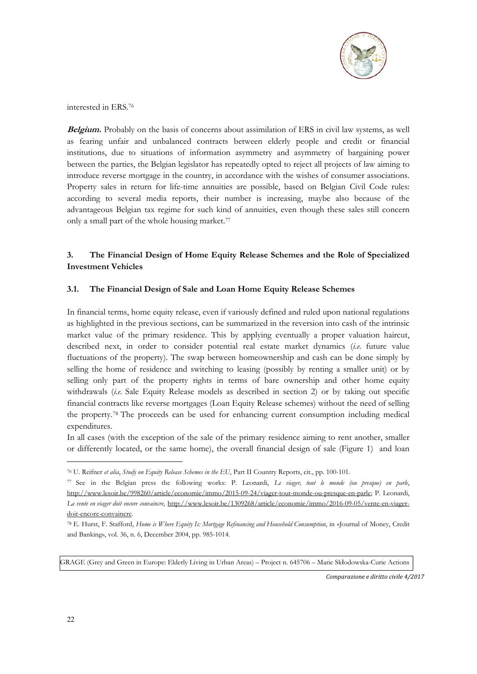

interested in ERS.76

**Belgium.** Probably on the basis of concerns about assimilation of ERS in civil law systems, as well as fearing unfair and unbalanced contracts between elderly people and credit or financial institutions, due to situations of information asymmetry and asymmetry of bargaining power between the parties, the Belgian legislator has repeatedly opted to reject all projects of law aiming to introduce reverse mortgage in the country, in accordance with the wishes of consumer associations. Property sales in return for life-time annuities are possible, based on Belgian Civil Code rules: according to several media reports, their number is increasing, maybe also because of the advantageous Belgian tax regime for such kind of annuities, even though these sales still concern only a small part of the whole housing market.<sup>77</sup>

### **3. The Financial Design of Home Equity Release Schemes and the Role of Specialized Investment Vehicles**

### **3.1. The Financial Design of Sale and Loan Home Equity Release Schemes**

In financial terms, home equity release, even if variously defined and ruled upon national regulations as highlighted in the previous sections, can be summarized in the reversion into cash of the intrinsic market value of the primary residence. This by applying eventually a proper valuation haircut, described next, in order to consider potential real estate market dynamics (*i.e.* future value fluctuations of the property). The swap between homeownership and cash can be done simply by selling the home of residence and switching to leasing (possibly by renting a smaller unit) or by selling only part of the property rights in terms of bare ownership and other home equity withdrawals (*i.e.* Sale Equity Release models as described in section 2) or by taking out specific financial contracts like reverse mortgages (Loan Equity Release schemes) without the need of selling the property.78 The proceeds can be used for enhancing current consumption including medical expenditures.

In all cases (with the exception of the sale of the primary residence aiming to rent another, smaller or differently located, or the same home), the overall financial design of sale (Figure 1) and loan

GRAGE (Grey and Green in Europe: Elderly Living in Urban Areas) – Project n. 645706 – Marie Skłodowska-Curie Actions

*Comparazione e diritto civile 4/2017* 

<sup>76</sup> U. Reifner *et alia*, *Study on Equity Release Schemes in the EU*, Part II Country Reports, cit., pp. 100-101.

<sup>77</sup> See in the Belgian press the following works: P. Leonardi, *Le viager, tout le monde (ou presque) en parle*, http://www.lesoir.be/998260/article/economie/immo/2015-09-24/viager-tout-monde-ou-presque-en-parle; P. Leonardi, *La vente en viager doit encore convaincre*, http://www.lesoir.be/1309268/article/economie/immo/2016-09-05/vente-en-viagerdoit-encore-convaincre.

<sup>78</sup> E. Hurst, F. Stafford, *Home is Where Equity Is: Mortgage Refinancing and Household Consumption*, in «Journal of Money, Credit and Banking», vol. 36, n. 6, December 2004, pp. 985-1014.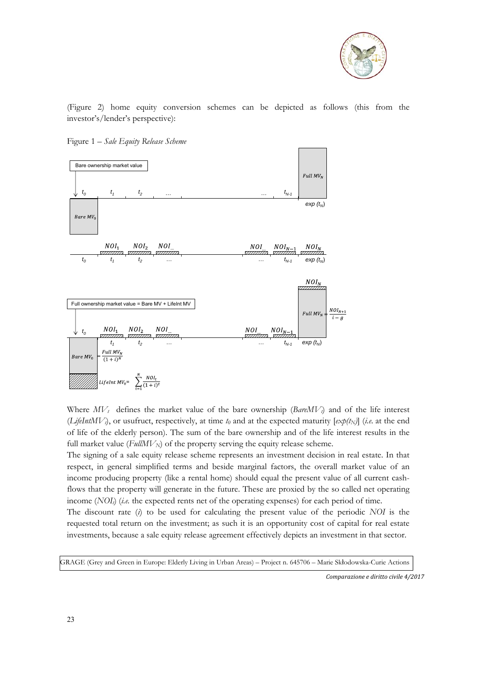

(Figure 2) home equity conversion schemes can be depicted as follows (this from the investor's/lender's perspective):





Where  $MV_t$  defines the market value of the bare ownership (*BareMV*) and of the life interest  $(LifelntMV_i)$ , or usufruct, respectively, at time  $t_0$  and at the expected maturity  $[\exp(t_N)]$  (*i.e.* at the end of life of the elderly person). The sum of the bare ownership and of the life interest results in the full market value ( $FullMV_N$ ) of the property serving the equity release scheme.

The signing of a sale equity release scheme represents an investment decision in real estate. In that respect, in general simplified terms and beside marginal factors, the overall market value of an income producing property (like a rental home) should equal the present value of all current cashflows that the property will generate in the future. These are proxied by the so called net operating income (*NOI<sub>l</sub>*) (*i.e.* the expected rents net of the operating expenses) for each period of time.

The discount rate (*i*) to be used for calculating the present value of the periodic *NOI* is the requested total return on the investment; as such it is an opportunity cost of capital for real estate investments, because a sale equity release agreement effectively depicts an investment in that sector.

GRAGE (Grey and Green in Europe: Elderly Living in Urban Areas) – Project n. 645706 – Marie Skłodowska-Curie Actions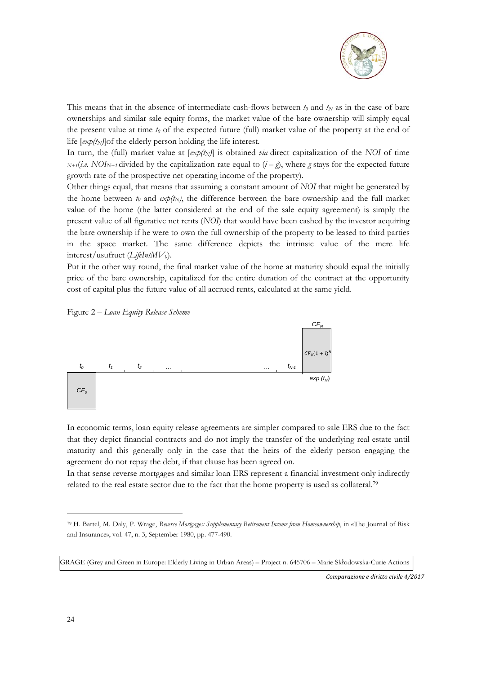

This means that in the absence of intermediate cash-flows between  $t_0$  and  $t_N$  as in the case of bare ownerships and similar sale equity forms, the market value of the bare ownership will simply equal the present value at time *t0* of the expected future (full) market value of the property at the end of life  $[exp(t_N)]$ of the elderly person holding the life interest.

In turn, the (full) market value at  $[exp(t<sub>N</sub>)]$  is obtained *via* direct capitalization of the *NOI* of time  $N+f(i.e. NOI_{N+f}$  divided by the capitalization rate equal to  $(i-g)$ , where *g* stays for the expected future growth rate of the prospective net operating income of the property).

Other things equal, that means that assuming a constant amount of *NOI* that might be generated by the home between  $t_0$  and  $exp(t_N)$ , the difference between the bare ownership and the full market value of the home (the latter considered at the end of the sale equity agreement) is simply the present value of all figurative net rents (*NOI*) that would have been cashed by the investor acquiring the bare ownership if he were to own the full ownership of the property to be leased to third parties in the space market. The same difference depicts the intrinsic value of the mere life interest/usufruct (*LifeIntMV0*).

Put it the other way round, the final market value of the home at maturity should equal the initially price of the bare ownership, capitalized for the entire duration of the contract at the opportunity cost of capital plus the future value of all accrued rents, calculated at the same yield.





In economic terms, loan equity release agreements are simpler compared to sale ERS due to the fact that they depict financial contracts and do not imply the transfer of the underlying real estate until maturity and this generally only in the case that the heirs of the elderly person engaging the agreement do not repay the debt, if that clause has been agreed on.

In that sense reverse mortgages and similar loan ERS represent a financial investment only indirectly related to the real estate sector due to the fact that the home property is used as collateral.79

*Comparazione e diritto civile 4/2017* 

<sup>79</sup> H. Bartel, M. Daly, P. Wrage, *Reverse Mortgages: Supplementary Retirement Income from Homeownership*, in «The Journal of Risk and Insurance», vol. 47, n. 3, September 1980, pp. 477-490.

GRAGE (Grey and Green in Europe: Elderly Living in Urban Areas) – Project n. 645706 – Marie Skłodowska-Curie Actions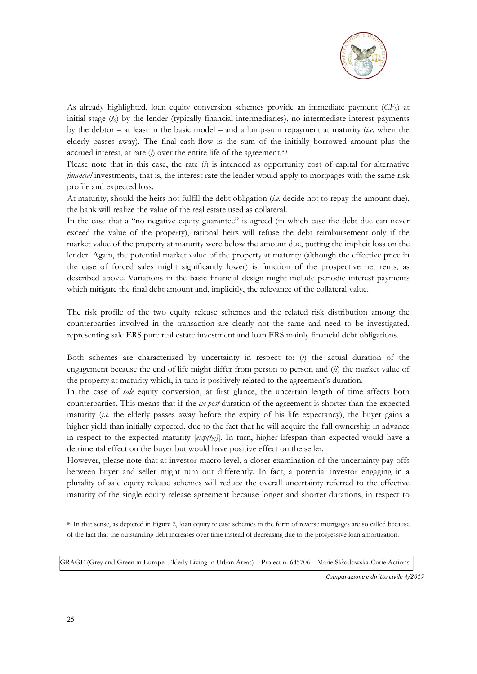

As already highlighted, loan equity conversion schemes provide an immediate payment (*CF0*) at initial stage (*t0*) by the lender (typically financial intermediaries), no intermediate interest payments by the debtor – at least in the basic model – and a lump-sum repayment at maturity (*i.e.* when the elderly passes away). The final cash-flow is the sum of the initially borrowed amount plus the accrued interest, at rate (*i*) over the entire life of the agreement.80

Please note that in this case, the rate (*i*) is intended as opportunity cost of capital for alternative *financial* investments, that is, the interest rate the lender would apply to mortgages with the same risk profile and expected loss.

At maturity, should the heirs not fulfill the debt obligation (*i.e.* decide not to repay the amount due), the bank will realize the value of the real estate used as collateral.

In the case that a "no negative equity guarantee" is agreed (in which case the debt due can never exceed the value of the property), rational heirs will refuse the debt reimbursement only if the market value of the property at maturity were below the amount due, putting the implicit loss on the lender. Again, the potential market value of the property at maturity (although the effective price in the case of forced sales might significantly lower) is function of the prospective net rents, as described above. Variations in the basic financial design might include periodic interest payments which mitigate the final debt amount and, implicitly, the relevance of the collateral value.

The risk profile of the two equity release schemes and the related risk distribution among the counterparties involved in the transaction are clearly not the same and need to be investigated, representing sale ERS pure real estate investment and loan ERS mainly financial debt obligations.

Both schemes are characterized by uncertainty in respect to: (*i*) the actual duration of the engagement because the end of life might differ from person to person and (*ii*) the market value of the property at maturity which, in turn is positively related to the agreement's duration.

In the case of *sale* equity conversion, at first glance, the uncertain length of time affects both counterparties. This means that if the *ex post* duration of the agreement is shorter than the expected maturity (*i.e.* the elderly passes away before the expiry of his life expectancy), the buyer gains a higher yield than initially expected, due to the fact that he will acquire the full ownership in advance in respect to the expected maturity  $[\exp(t_N)]$ . In turn, higher lifespan than expected would have a detrimental effect on the buyer but would have positive effect on the seller.

However, please note that at investor macro-level, a closer examination of the uncertainty pay-offs between buyer and seller might turn out differently. In fact, a potential investor engaging in a plurality of sale equity release schemes will reduce the overall uncertainty referred to the effective maturity of the single equity release agreement because longer and shorter durations, in respect to

*Comparazione e diritto civile 4/2017* 

<sup>80</sup> In that sense, as depicted in Figure 2, loan equity release schemes in the form of reverse mortgages are so called because of the fact that the outstanding debt increases over time instead of decreasing due to the progressive loan amortization.

GRAGE (Grey and Green in Europe: Elderly Living in Urban Areas) – Project n. 645706 – Marie Skłodowska-Curie Actions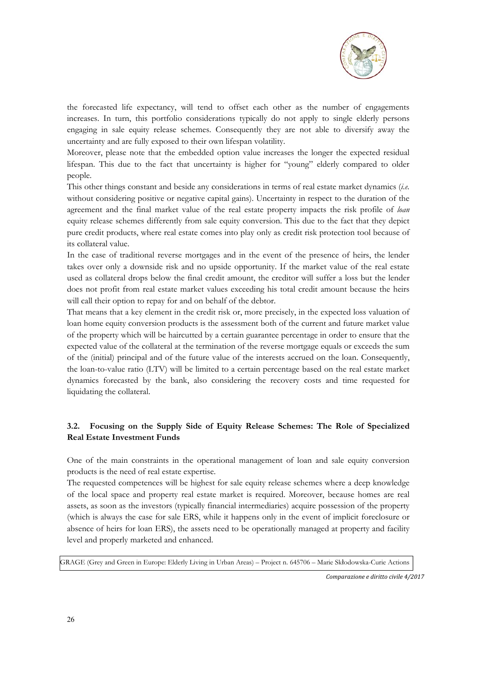

the forecasted life expectancy, will tend to offset each other as the number of engagements increases. In turn, this portfolio considerations typically do not apply to single elderly persons engaging in sale equity release schemes. Consequently they are not able to diversify away the uncertainty and are fully exposed to their own lifespan volatility.

Moreover, please note that the embedded option value increases the longer the expected residual lifespan. This due to the fact that uncertainty is higher for "young" elderly compared to older people.

This other things constant and beside any considerations in terms of real estate market dynamics (*i.e.*  without considering positive or negative capital gains). Uncertainty in respect to the duration of the agreement and the final market value of the real estate property impacts the risk profile of *loan* equity release schemes differently from sale equity conversion. This due to the fact that they depict pure credit products, where real estate comes into play only as credit risk protection tool because of its collateral value.

In the case of traditional reverse mortgages and in the event of the presence of heirs, the lender takes over only a downside risk and no upside opportunity. If the market value of the real estate used as collateral drops below the final credit amount, the creditor will suffer a loss but the lender does not profit from real estate market values exceeding his total credit amount because the heirs will call their option to repay for and on behalf of the debtor.

That means that a key element in the credit risk or, more precisely, in the expected loss valuation of loan home equity conversion products is the assessment both of the current and future market value of the property which will be haircutted by a certain guarantee percentage in order to ensure that the expected value of the collateral at the termination of the reverse mortgage equals or exceeds the sum of the (initial) principal and of the future value of the interests accrued on the loan. Consequently, the loan-to-value ratio (LTV) will be limited to a certain percentage based on the real estate market dynamics forecasted by the bank, also considering the recovery costs and time requested for liquidating the collateral.

# **3.2. Focusing on the Supply Side of Equity Release Schemes: The Role of Specialized Real Estate Investment Funds**

One of the main constraints in the operational management of loan and sale equity conversion products is the need of real estate expertise.

The requested competences will be highest for sale equity release schemes where a deep knowledge of the local space and property real estate market is required. Moreover, because homes are real assets, as soon as the investors (typically financial intermediaries) acquire possession of the property (which is always the case for sale ERS, while it happens only in the event of implicit foreclosure or absence of heirs for loan ERS), the assets need to be operationally managed at property and facility level and properly marketed and enhanced.

GRAGE (Grey and Green in Europe: Elderly Living in Urban Areas) – Project n. 645706 – Marie Skłodowska-Curie Actions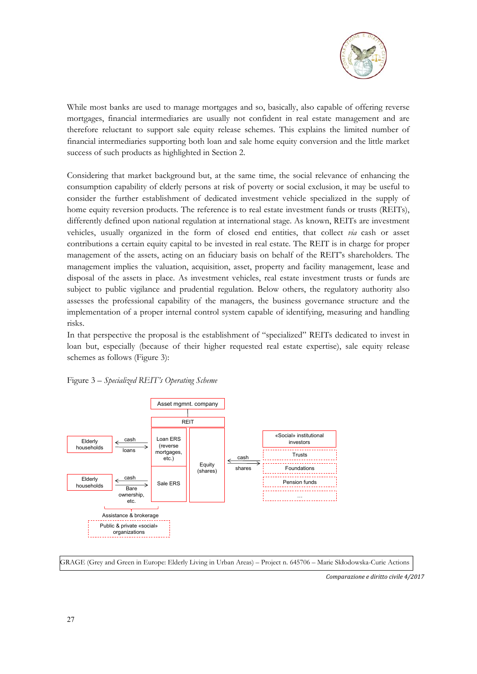

While most banks are used to manage mortgages and so, basically, also capable of offering reverse mortgages, financial intermediaries are usually not confident in real estate management and are therefore reluctant to support sale equity release schemes. This explains the limited number of financial intermediaries supporting both loan and sale home equity conversion and the little market success of such products as highlighted in Section 2.

Considering that market background but, at the same time, the social relevance of enhancing the consumption capability of elderly persons at risk of poverty or social exclusion, it may be useful to consider the further establishment of dedicated investment vehicle specialized in the supply of home equity reversion products. The reference is to real estate investment funds or trusts (REITs), differently defined upon national regulation at international stage. As known, REITs are investment vehicles, usually organized in the form of closed end entities, that collect *via* cash or asset contributions a certain equity capital to be invested in real estate. The REIT is in charge for proper management of the assets, acting on an fiduciary basis on behalf of the REIT's shareholders. The management implies the valuation, acquisition, asset, property and facility management, lease and disposal of the assets in place. As investment vehicles, real estate investment trusts or funds are subject to public vigilance and prudential regulation. Below others, the regulatory authority also assesses the professional capability of the managers, the business governance structure and the implementation of a proper internal control system capable of identifying, measuring and handling risks.

In that perspective the proposal is the establishment of "specialized" REITs dedicated to invest in loan but, especially (because of their higher requested real estate expertise), sale equity release schemes as follows (Figure 3):



Figure 3 – *Specialized REIT's Operating Scheme*

GRAGE (Grey and Green in Europe: Elderly Living in Urban Areas) – Project n. 645706 – Marie Skłodowska-Curie Actions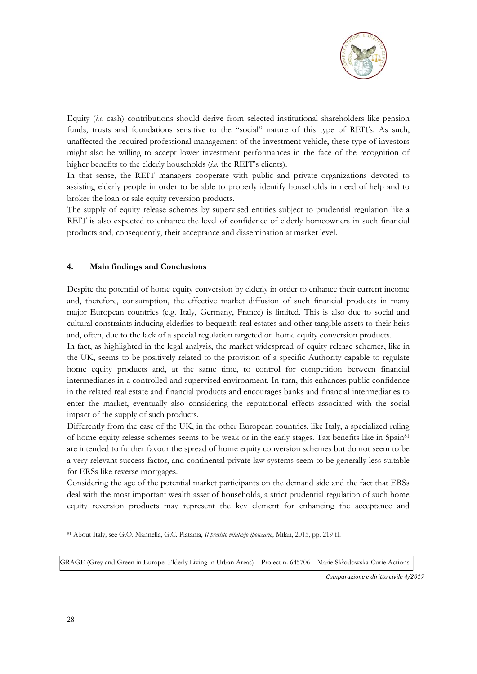

Equity (*i.e.* cash) contributions should derive from selected institutional shareholders like pension funds, trusts and foundations sensitive to the "social" nature of this type of REITs. As such, unaffected the required professional management of the investment vehicle, these type of investors might also be willing to accept lower investment performances in the face of the recognition of higher benefits to the elderly households (*i.e.* the REIT's clients).

In that sense, the REIT managers cooperate with public and private organizations devoted to assisting elderly people in order to be able to properly identify households in need of help and to broker the loan or sale equity reversion products.

The supply of equity release schemes by supervised entities subject to prudential regulation like a REIT is also expected to enhance the level of confidence of elderly homeowners in such financial products and, consequently, their acceptance and dissemination at market level.

#### **4. Main findings and Conclusions**

Despite the potential of home equity conversion by elderly in order to enhance their current income and, therefore, consumption, the effective market diffusion of such financial products in many major European countries (e.g. Italy, Germany, France) is limited. This is also due to social and cultural constraints inducing elderlies to bequeath real estates and other tangible assets to their heirs and, often, due to the lack of a special regulation targeted on home equity conversion products.

In fact, as highlighted in the legal analysis, the market widespread of equity release schemes, like in the UK, seems to be positively related to the provision of a specific Authority capable to regulate home equity products and, at the same time, to control for competition between financial intermediaries in a controlled and supervised environment. In turn, this enhances public confidence in the related real estate and financial products and encourages banks and financial intermediaries to enter the market, eventually also considering the reputational effects associated with the social impact of the supply of such products.

Differently from the case of the UK, in the other European countries, like Italy, a specialized ruling of home equity release schemes seems to be weak or in the early stages. Tax benefits like in Spain81 are intended to further favour the spread of home equity conversion schemes but do not seem to be a very relevant success factor, and continental private law systems seem to be generally less suitable for ERSs like reverse mortgages.

Considering the age of the potential market participants on the demand side and the fact that ERSs deal with the most important wealth asset of households, a strict prudential regulation of such home equity reversion products may represent the key element for enhancing the acceptance and

*Comparazione e diritto civile 4/2017* 

<sup>81</sup> About Italy, see G.O. Mannella, G.C. Platania, *Il prestito vitalizio ipotecario*, Milan, 2015, pp. 219 ff.

GRAGE (Grey and Green in Europe: Elderly Living in Urban Areas) – Project n. 645706 – Marie Skłodowska-Curie Actions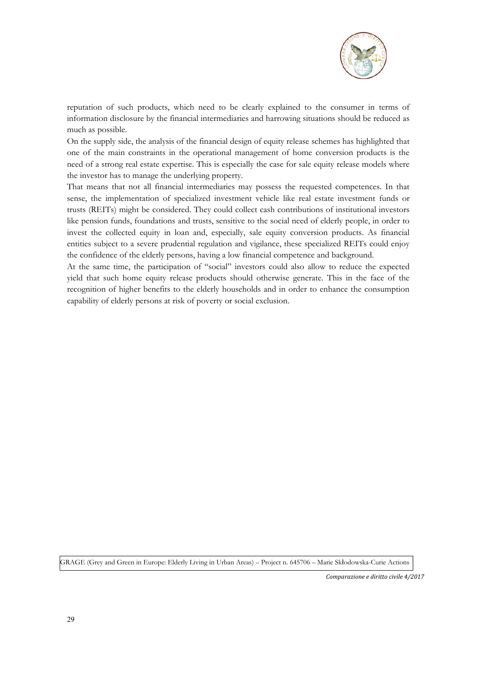

reputation of such products, which need to be clearly explained to the consumer in terms of information disclosure by the financial intermediaries and harrowing situations should be reduced as much as possible.

On the supply side, the analysis of the financial design of equity release schemes has highlighted that one of the main constraints in the operational management of home conversion products is the need of a strong real estate expertise. This is especially the case for sale equity release models where the investor has to manage the underlying property.

That means that not all financial intermediaries may possess the requested competences. In that sense, the implementation of specialized investment vehicle like real estate investment funds or trusts (REITs) might be considered. They could collect cash contributions of institutional investors like pension funds, foundations and trusts, sensitive to the social need of elderly people, in order to invest the collected equity in loan and, especially, sale equity conversion products. As financial entities subject to a severe prudential regulation and vigilance, these specialized REITs could enjoy the confidence of the elderly persons, having a low financial competence and background.

At the same time, the participation of "social" investors could also allow to reduce the expected yield that such home equity release products should otherwise generate. This in the face of the recognition of higher benefits to the elderly households and in order to enhance the consumption capability of elderly persons at risk of poverty or social exclusion.

GRAGE (Grey and Green in Europe: Elderly Living in Urban Areas) – Project n. 645706 – Marie Skłodowska-Curie Actions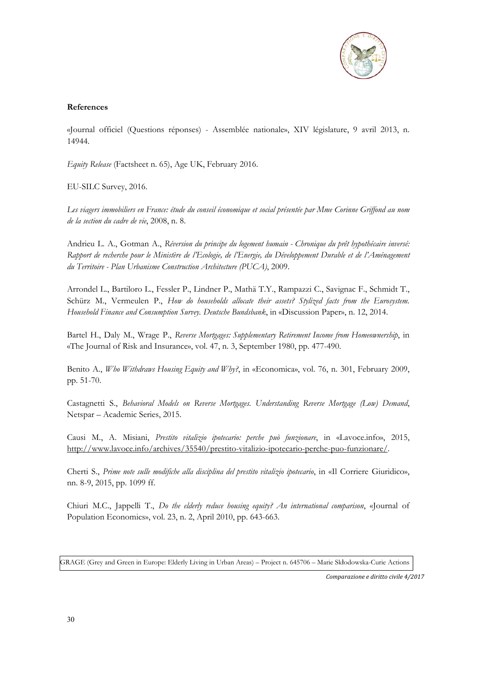

### **References**

«Journal officiel (Questions réponses) - Assemblée nationale», XIV législature, 9 avril 2013, n. 14944.

*Equity Release* (Factsheet n. 65), Age UK, February 2016.

EU-SILC Survey, 2016.

*Les viagers immobiliers en France: étude du conseil économique et social présentée par Mme Corinne Griffond au nom de la section du cadre de vie*, 2008, n. 8.

Andrieu L. A., Gotman A., *Réversion du principe du logement humain - Chronique du prêt hypothécaire inversé: Rapport de recherche pour le Ministère de l'Ecologie, de l'Energie, du Développement Durable et de l'Aménagement du Territoire - Plan Urbanisme Construction Architecture (PUCA)*, 2009.

Arrondel L., Bartiloro L., Fessler P., Lindner P., Mathä T.Y., Rampazzi C., Savignac F., Schmidt T., Schürz M., Vermeulen P., *How do households allocate their assets? Stylized facts from the Eurosystem. Household Finance and Consumption Survey. Deutsche Bundsbank*, in «Discussion Paper», n. 12, 2014.

Bartel H., Daly M., Wrage P., *Reverse Mortgages: Supplementary Retirement Income from Homeownership*, in «The Journal of Risk and Insurance», vol. 47, n. 3, September 1980, pp. 477-490.

Benito A., *Who Withdraws Housing Equity and Why?*, in «Economica», vol. 76, n. 301, February 2009, pp. 51-70.

Castagnetti S., *Behavioral Models on Reverse Mortgages. Understanding Reverse Mortgage (Low) Demand*, Netspar – Academic Series, 2015.

Causi M., A. Misiani, *Prestito vitalizio ipotecario: perche può funzionare*, in «Lavoce.info», 2015, http://www.lavoce.info/archives/35540/prestito-vitalizio-ipotecario-perche-puo-funzionare/.

Cherti S., *Prime note sulle modifiche alla disciplina del prestito vitalizio ipotecario*, in «Il Corriere Giuridico», nn. 8-9, 2015, pp. 1099 ff.

Chiuri M.C., Jappelli T., *Do the elderly reduce housing equity? An international comparison*, «Journal of Population Economics», vol. 23, n. 2, April 2010, pp. 643-663.

GRAGE (Grey and Green in Europe: Elderly Living in Urban Areas) – Project n. 645706 – Marie Skłodowska-Curie Actions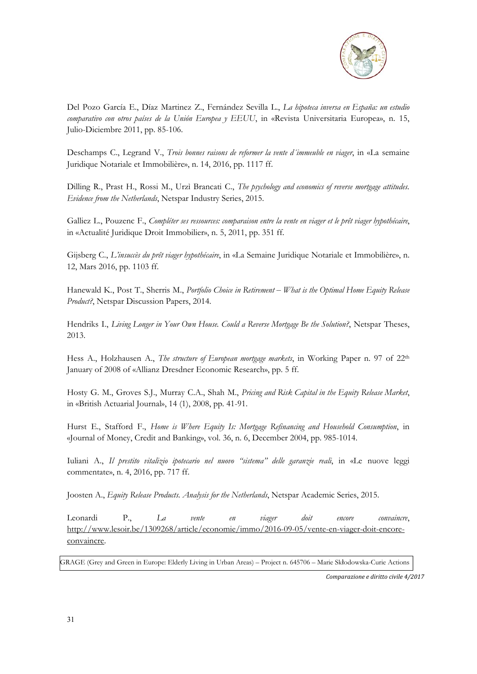

Del Pozo García E., Díaz Martinez Z., Fernández Sevilla L., *La hipoteca inversa en España: un estudio comparativo con otros países de la Unión Europea y EEUU*, in «Revista Universitaria Europea», n. 15, Julio-Diciembre 2011, pp. 85-106.

Deschamps C., Legrand V., *Trois bonnes raisons de reformer la vente d´immeuble en viager*, in «La semaine Juridique Notariale et Immobilière», n. 14, 2016, pp. 1117 ff.

Dilling R., Prast H., Rossi M., Urzì Brancati C., *The psychology and economics of reverse mortgage attitudes. Evidence from the Netherlands*, Netspar Industry Series, 2015.

Galliez L., Pouzenc F., *Compléter ses ressources: comparaison entre la vente en viager et le prêt viager hypothécaire*, in «Actualité Juridique Droit Immobilier», n. 5, 2011, pp. 351 ff.

Gijsberg C., *L'insuccès du prêt viager hypothécaire*, in «La Semaine Juridique Notariale et Immobilière», n. 12, Mars 2016, pp. 1103 ff.

Hanewald K., Post T., Sherris M., *Portfolio Choice in Retirement – What is the Optimal Home Equity Release Product?*, Netspar Discussion Papers, 2014.

Hendriks I., *Living Longer in Your Own House. Could a Reverse Mortgage Be the Solution?*, Netspar Theses, 2013.

Hess A., Holzhausen A., *The structure of European mortgage markets*, in Working Paper n. 97 of 22<sup>th</sup> January of 2008 of «Allianz Dresdner Economic Research», pp. 5 ff.

Hosty G. M., Groves S.J., Murray C.A., Shah M., *Pricing and Risk Capital in the Equity Release Market*, in «British Actuarial Journal», 14 (1), 2008, pp. 41-91.

Hurst E., Stafford F., *Home is Where Equity Is: Mortgage Refinancing and Household Consumption*, in «Journal of Money, Credit and Banking», vol. 36, n. 6, December 2004, pp. 985-1014.

Iuliani A., *Il prestito vitalizio ipotecario nel nuovo "sistema" delle garanzie reali*, in «Le nuove leggi commentate», n. 4, 2016, pp. 717 ff.

Joosten A., *Equity Release Products. Analysis for the Netherlands*, Netspar Academic Series, 2015.

Leonardi P., *La vente en viager doit encore convaincre*, http://www.lesoir.be/1309268/article/economie/immo/2016-09-05/vente-en-viager-doit-encoreconvaincre.

GRAGE (Grey and Green in Europe: Elderly Living in Urban Areas) – Project n. 645706 – Marie Skłodowska-Curie Actions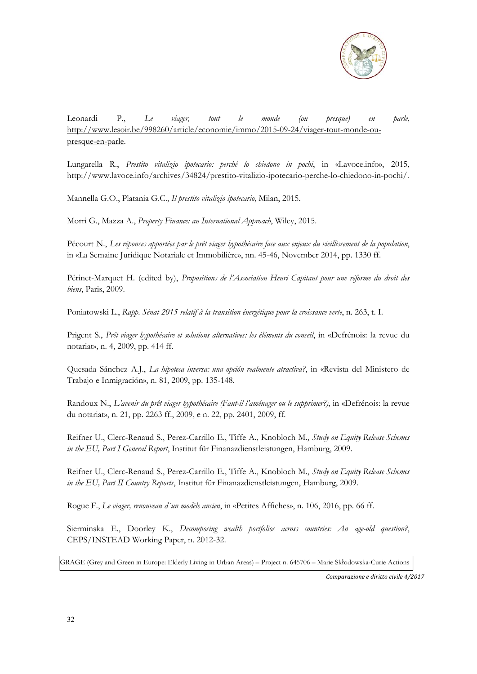

Leonardi P., *Le viager, tout le monde (ou presque) en parle*, http://www.lesoir.be/998260/article/economie/immo/2015-09-24/viager-tout-monde presque-en-parle.

Lungarella R., *Prestito vitalizio ipotecario: perché lo chiedono in pochi*, in «Lavoce.info», 2015, http://www.lavoce.info/archives/34824/prestito-vitalizio-ipotecario-perche-lo-chiedono-in-pochi/.

Mannella G.O., Platania G.C., *Il prestito vitalizio ipotecario*, Milan, 2015.

Morri G., Mazza A., *Property Finance: an International Approach*, Wiley, 2015.

Pécourt N., *Les réponses apportées par le prêt viager hypothécaire face aux enjeux du vieillissement de la population*, in «La Semaine Juridique Notariale et Immobilière», nn. 45-46, November 2014, pp. 1330 ff.

Périnet-Marquet H. (edited by), *Propositions de l'Association Henri Capitant pour une réforme du droit des biens*, Paris, 2009.

Poniatowski L., *Rapp. Sénat 2015 relatif à la transition énergétique pour la croissance verte*, n. 263, t. I.

Prigent S., *Prêt viager hypothécaire et solutions alternatives: les éléments du conseil*, in «Defrénois: la revue du notariat», n. 4, 2009, pp. 414 ff.

Quesada Sánchez A.J., *La hipoteca inversa: una opción realmente atractiva?*, in «Revista del Ministero de Trabajo e Inmigración», n. 81, 2009, pp. 135-148.

Randoux N., *L'avenir du prêt viager hypothécaire (Faut-il l'aménager ou le supprimer?)*, in «Defrénois: la revue du notariat», n. 21, pp. 2263 ff., 2009, e n. 22, pp. 2401, 2009, ff.

Reifner U., Clerc-Renaud S., Perez-Carrillo E., Tiffe A., Knobloch M., *Study on Equity Release Schemes in the EU, Part I General Report*, Institut für Finanazdienstleistungen, Hamburg, 2009.

Reifner U., Clerc-Renaud S., Perez-Carrillo E., Tiffe A., Knobloch M., *Study on Equity Release Schemes in the EU, Part II Country Reports*, Institut für Finanazdienstleistungen, Hamburg, 2009.

Rogue F., *Le viager, renouveau d´un modèle ancien*, in «Petites Affiches», n. 106, 2016, pp. 66 ff.

Sierminska E., Doorley K., *Decomposing wealth portfolios across countries: An age-old question?*, CEPS/INSTEAD Working Paper, n. 2012-32.

GRAGE (Grey and Green in Europe: Elderly Living in Urban Areas) – Project n. 645706 – Marie Skłodowska-Curie Actions